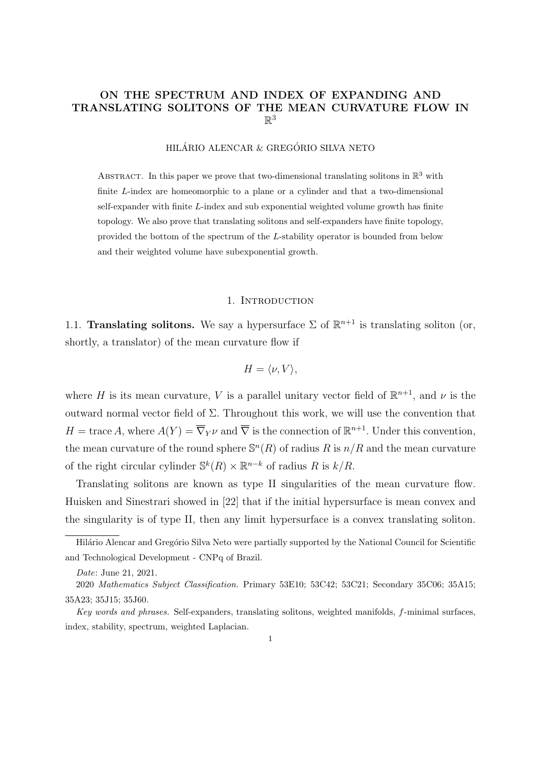# ON THE SPECTRUM AND INDEX OF EXPANDING AND TRANSLATING SOLITONS OF THE MEAN CURVATURE FLOW IN  $\mathbb{R}^3$

### HILÁRIO ALENCAR & GREGÓRIO SILVA NETO

ABSTRACT. In this paper we prove that two-dimensional translating solitons in  $\mathbb{R}^3$  with finite L-index are homeomorphic to a plane or a cylinder and that a two-dimensional self-expander with finite L-index and sub exponential weighted volume growth has finite topology. We also prove that translating solitons and self-expanders have finite topology, provided the bottom of the spectrum of the L-stability operator is bounded from below and their weighted volume have subexponential growth.

#### 1. INTRODUCTION

1.1. **Translating solitons.** We say a hypersurface  $\Sigma$  of  $\mathbb{R}^{n+1}$  is translating soliton (or, shortly, a translator) of the mean curvature flow if

$$
H = \langle \nu, V \rangle,
$$

where H is its mean curvature, V is a parallel unitary vector field of  $\mathbb{R}^{n+1}$ , and  $\nu$  is the outward normal vector field of  $\Sigma$ . Throughout this work, we will use the convention that  $H = \text{trace } A$ , where  $A(Y) = \overline{\nabla}_Y \nu$  and  $\overline{\nabla}$  is the connection of  $\mathbb{R}^{n+1}$ . Under this convention, the mean curvature of the round sphere  $\mathbb{S}^n(R)$  of radius R is  $n/R$  and the mean curvature of the right circular cylinder  $\mathbb{S}^k(R) \times \mathbb{R}^{n-k}$  of radius R is  $k/R$ .

Translating solitons are known as type II singularities of the mean curvature flow. Huisken and Sinestrari showed in [22] that if the initial hypersurface is mean convex and the singularity is of type II, then any limit hypersurface is a convex translating soliton.

Hilário Alencar and Gregório Silva Neto were partially supported by the National Council for Scientific and Technological Development - CNPq of Brazil.

Date: June 21, 2021.

<sup>2020</sup> Mathematics Subject Classification. Primary 53E10; 53C42; 53C21; Secondary 35C06; 35A15; 35A23; 35J15; 35J60.

Key words and phrases. Self-expanders, translating solitons, weighted manifolds, f-minimal surfaces, index, stability, spectrum, weighted Laplacian.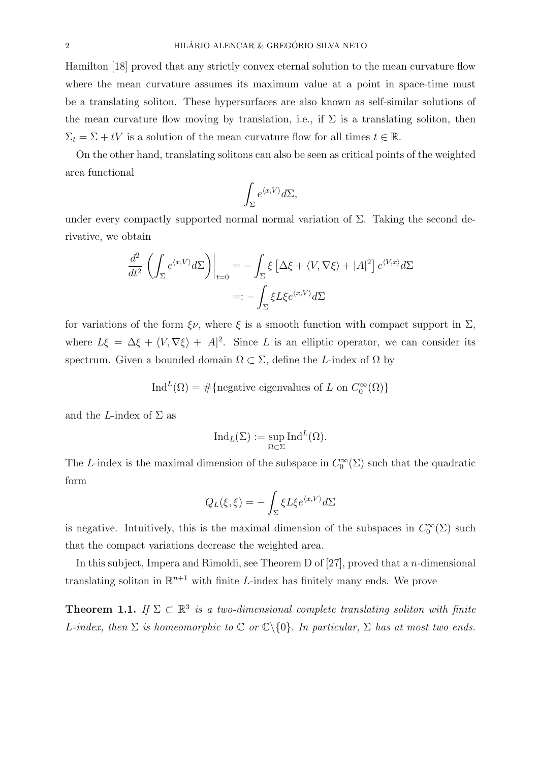Hamilton [18] proved that any strictly convex eternal solution to the mean curvature flow where the mean curvature assumes its maximum value at a point in space-time must be a translating soliton. These hypersurfaces are also known as self-similar solutions of the mean curvature flow moving by translation, i.e., if  $\Sigma$  is a translating soliton, then  $\Sigma_t = \Sigma + tV$  is a solution of the mean curvature flow for all times  $t \in \mathbb{R}$ .

On the other hand, translating solitons can also be seen as critical points of the weighted area functional

$$
\int_{\Sigma}e^{\langle x,V\rangle}d\Sigma,
$$

under every compactly supported normal normal variation of  $\Sigma$ . Taking the second derivative, we obtain

$$
\frac{d^2}{dt^2} \left( \int_{\Sigma} e^{\langle x, V \rangle} d\Sigma \right) \Big|_{t=0} = -\int_{\Sigma} \xi \left[ \Delta \xi + \langle V, \nabla \xi \rangle + |A|^2 \right] e^{\langle V, x \rangle} d\Sigma
$$

$$
=: -\int_{\Sigma} \xi L \xi e^{\langle x, V \rangle} d\Sigma
$$

for variations of the form  $\xi \nu$ , where  $\xi$  is a smooth function with compact support in  $\Sigma$ , where  $L\xi = \Delta \xi + \langle V, \nabla \xi \rangle + |A|^2$ . Since L is an elliptic operator, we can consider its spectrum. Given a bounded domain  $\Omega \subset \Sigma$ , define the L-index of  $\Omega$  by

$$
Ind^{L}(\Omega) = \#\{\text{negative eigenvalues of } L \text{ on } C_0^{\infty}(\Omega)\}\
$$

and the L-index of  $\Sigma$  as

$$
\mathrm{Ind}_L(\Sigma) := \sup_{\Omega \subset \Sigma} \mathrm{Ind}^L(\Omega).
$$

The L-index is the maximal dimension of the subspace in  $C_0^{\infty}(\Sigma)$  such that the quadratic form

$$
Q_L(\xi, \xi) = -\int_{\Sigma} \xi L \xi e^{\langle x, V \rangle} d\Sigma
$$

is negative. Intuitively, this is the maximal dimension of the subspaces in  $C_0^{\infty}(\Sigma)$  such that the compact variations decrease the weighted area.

In this subject, Impera and Rimoldi, see Theorem D of  $[27]$ , proved that a *n*-dimensional translating soliton in  $\mathbb{R}^{n+1}$  with finite L-index has finitely many ends. We prove

**Theorem 1.1.** If  $\Sigma \subset \mathbb{R}^3$  is a two-dimensional complete translating soliton with finite L-index, then  $\Sigma$  is homeomorphic to  $\mathbb C$  or  $\mathbb C\backslash\{0\}$ . In particular,  $\Sigma$  has at most two ends.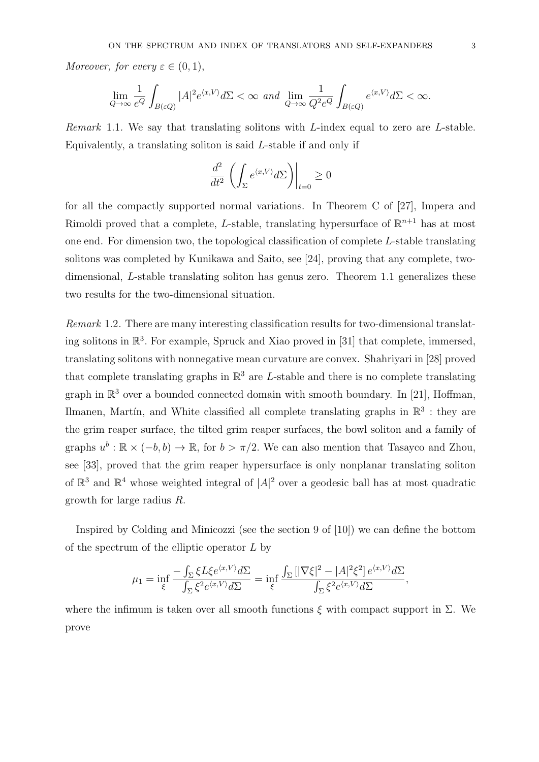Moreover, for every  $\varepsilon \in (0,1)$ ,

$$
\lim_{Q\to\infty}\frac{1}{e^Q}\int_{B(\varepsilon Q)}|A|^2e^{\langle x,V\rangle}d\Sigma<\infty\ \ and\ \ \lim_{Q\to\infty}\frac{1}{Q^2e^Q}\int_{B(\varepsilon Q)}e^{\langle x,V\rangle}d\Sigma<\infty.
$$

Remark 1.1. We say that translating solitons with L-index equal to zero are L-stable. Equivalently, a translating soliton is said L-stable if and only if

$$
\frac{d^2}{dt^2} \left( \int_{\Sigma} e^{\langle x, V \rangle} d\Sigma \right) \Big|_{t=0} \ge 0
$$

for all the compactly supported normal variations. In Theorem C of [27], Impera and Rimoldi proved that a complete, L-stable, translating hypersurface of  $\mathbb{R}^{n+1}$  has at most one end. For dimension two, the topological classification of complete L-stable translating solitons was completed by Kunikawa and Saito, see [24], proving that any complete, twodimensional, L-stable translating soliton has genus zero. Theorem 1.1 generalizes these two results for the two-dimensional situation.

Remark 1.2. There are many interesting classification results for two-dimensional translating solitons in R 3 . For example, Spruck and Xiao proved in [31] that complete, immersed, translating solitons with nonnegative mean curvature are convex. Shahriyari in [28] proved that complete translating graphs in  $\mathbb{R}^3$  are L-stable and there is no complete translating graph in  $\mathbb{R}^3$  over a bounded connected domain with smooth boundary. In [21], Hoffman, Ilmanen, Martín, and White classified all complete translating graphs in  $\mathbb{R}^3$ : they are the grim reaper surface, the tilted grim reaper surfaces, the bowl soliton and a family of graphs  $u^b : \mathbb{R} \times (-b, b) \to \mathbb{R}$ , for  $b > \pi/2$ . We can also mention that Tasayco and Zhou, see [33], proved that the grim reaper hypersurface is only nonplanar translating soliton of  $\mathbb{R}^3$  and  $\mathbb{R}^4$  whose weighted integral of  $|A|^2$  over a geodesic ball has at most quadratic growth for large radius R.

Inspired by Colding and Minicozzi (see the section 9 of [10]) we can define the bottom of the spectrum of the elliptic operator  $L$  by

$$
\mu_1 = \inf_{\xi} \frac{-\int_{\Sigma} \xi L \xi e^{\langle x, V \rangle} d\Sigma}{\int_{\Sigma} \xi^2 e^{\langle x, V \rangle} d\Sigma} = \inf_{\xi} \frac{\int_{\Sigma} \left[ |\nabla \xi|^2 - |A|^2 \xi^2 \right] e^{\langle x, V \rangle} d\Sigma}{\int_{\Sigma} \xi^2 e^{\langle x, V \rangle} d\Sigma},
$$

where the infimum is taken over all smooth functions  $\xi$  with compact support in  $\Sigma$ . We prove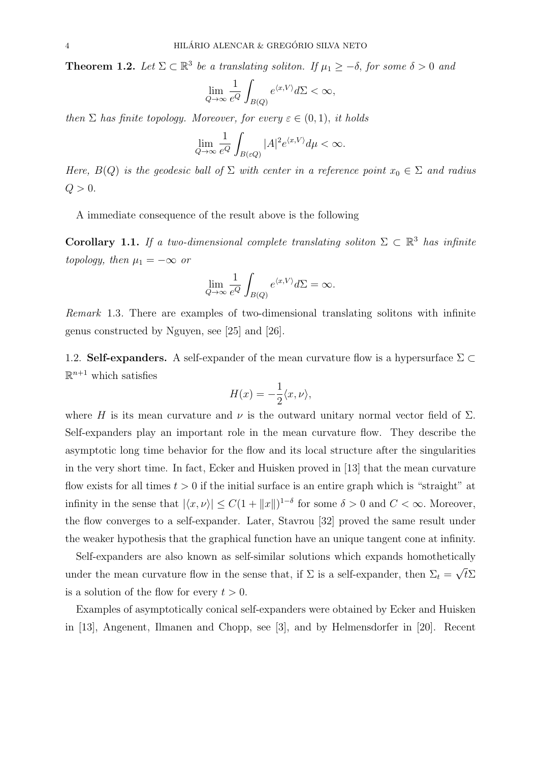**Theorem 1.2.** Let  $\Sigma \subset \mathbb{R}^3$  be a translating soliton. If  $\mu_1 \geq -\delta$ , for some  $\delta > 0$  and

$$
\lim_{Q \to \infty} \frac{1}{e^Q} \int_{B(Q)} e^{\langle x, V \rangle} d\Sigma < \infty,
$$

then  $\Sigma$  has finite topology. Moreover, for every  $\varepsilon \in (0,1)$ , it holds

$$
\lim_{Q \to \infty} \frac{1}{e^Q} \int_{B(\varepsilon Q)} |A|^2 e^{\langle x, V \rangle} d\mu < \infty.
$$

Here,  $B(Q)$  is the geodesic ball of  $\Sigma$  with center in a reference point  $x_0 \in \Sigma$  and radius  $Q > 0$ .

A immediate consequence of the result above is the following

**Corollary 1.1.** If a two-dimensional complete translating soliton  $\Sigma \subset \mathbb{R}^3$  has infinite topology, then  $\mu_1 = -\infty$  or

$$
\lim_{Q \to \infty} \frac{1}{e^Q} \int_{B(Q)} e^{\langle x, V \rangle} d\Sigma = \infty.
$$

Remark 1.3. There are examples of two-dimensional translating solitons with infinite genus constructed by Nguyen, see [25] and [26].

1.2. Self-expanders. A self-expander of the mean curvature flow is a hypersurface  $\Sigma \subset$  $\mathbb{R}^{n+1}$  which satisfies

$$
H(x) = -\frac{1}{2}\langle x, \nu \rangle,
$$

where H is its mean curvature and  $\nu$  is the outward unitary normal vector field of  $\Sigma$ . Self-expanders play an important role in the mean curvature flow. They describe the asymptotic long time behavior for the flow and its local structure after the singularities in the very short time. In fact, Ecker and Huisken proved in [13] that the mean curvature flow exists for all times  $t > 0$  if the initial surface is an entire graph which is "straight" at infinity in the sense that  $|\langle x, \nu \rangle| \leq C(1 + ||x||)^{1-\delta}$  for some  $\delta > 0$  and  $C < \infty$ . Moreover, the flow converges to a self-expander. Later, Stavrou [32] proved the same result under the weaker hypothesis that the graphical function have an unique tangent cone at infinity.

Self-expanders are also known as self-similar solutions which expands homothetically under the mean curvature flow in the sense that, if  $\Sigma$  is a self-expander, then  $\Sigma_t$  = √  $t\Sigma$ is a solution of the flow for every  $t > 0$ .

Examples of asymptotically conical self-expanders were obtained by Ecker and Huisken in [13], Angenent, Ilmanen and Chopp, see [3], and by Helmensdorfer in [20]. Recent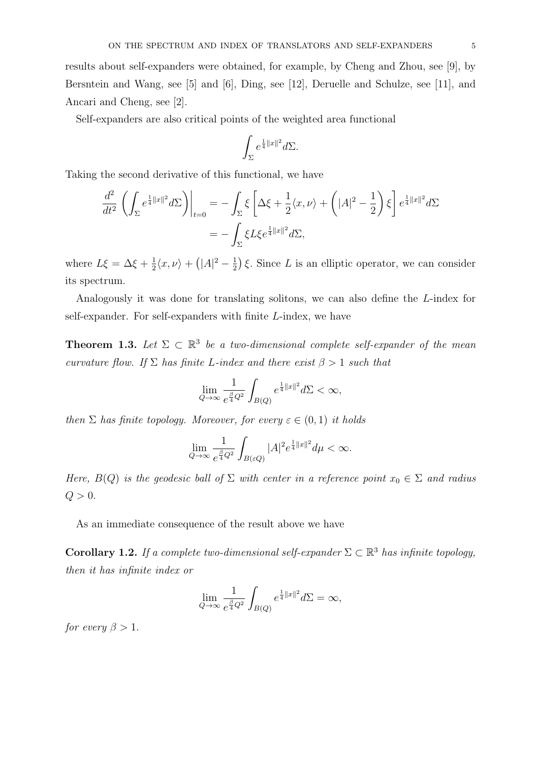results about self-expanders were obtained, for example, by Cheng and Zhou, see [9], by Bersntein and Wang, see [5] and [6], Ding, see [12], Deruelle and Schulze, see [11], and Ancari and Cheng, see [2].

Self-expanders are also critical points of the weighted area functional

$$
\int_{\Sigma} e^{\frac{1}{4}||x||^2} d\Sigma.
$$

Taking the second derivative of this functional, we have

$$
\frac{d^2}{dt^2} \left( \int_{\Sigma} e^{\frac{1}{4}||x||^2} d\Sigma \right) \Big|_{t=0} = -\int_{\Sigma} \xi \left[ \Delta \xi + \frac{1}{2} \langle x, \nu \rangle + \left( |A|^2 - \frac{1}{2} \right) \xi \right] e^{\frac{1}{4}||x||^2} d\Sigma
$$
  
= 
$$
- \int_{\Sigma} \xi L \xi e^{\frac{1}{4}||x||^2} d\Sigma,
$$

where  $L\xi = \Delta \xi + \frac{1}{2}$  $\frac{1}{2}\langle x,\nu \rangle + (|A|^2 - \frac{1}{2})$  $\frac{1}{2}$ )  $\xi$ . Since L is an elliptic operator, we can consider its spectrum.

Analogously it was done for translating solitons, we can also define the L-index for self-expander. For self-expanders with finite L-index, we have

**Theorem 1.3.** Let  $\Sigma \subset \mathbb{R}^3$  be a two-dimensional complete self-expander of the mean curvature flow. If  $\Sigma$  has finite L-index and there exist  $\beta > 1$  such that

$$
\lim_{Q\to\infty}\frac{1}{e^{\frac{\beta}{4}Q^2}}\int_{B(Q)}e^{\frac{1}{4}\|x\|^2}d\Sigma<\infty,
$$

then  $\Sigma$  has finite topology. Moreover, for every  $\varepsilon \in (0,1)$  it holds

$$
\lim_{Q\to\infty}\frac{1}{e^{\frac{\beta}{4}Q^2}}\int_{B(\varepsilon Q)}|A|^2e^{\frac{1}{4}\|x\|^2}d\mu<\infty.
$$

Here,  $B(Q)$  is the geodesic ball of  $\Sigma$  with center in a reference point  $x_0 \in \Sigma$  and radius  $Q > 0$ .

As an immediate consequence of the result above we have

**Corollary 1.2.** If a complete two-dimensional self-expander  $\Sigma \subset \mathbb{R}^3$  has infinite topology, then it has infinite index or

$$
\lim_{Q \to \infty} \frac{1}{e^{\frac{\beta}{4}Q^2}} \int_{B(Q)} e^{\frac{1}{4}||x||^2} d\Sigma = \infty,
$$

for every  $\beta > 1$ .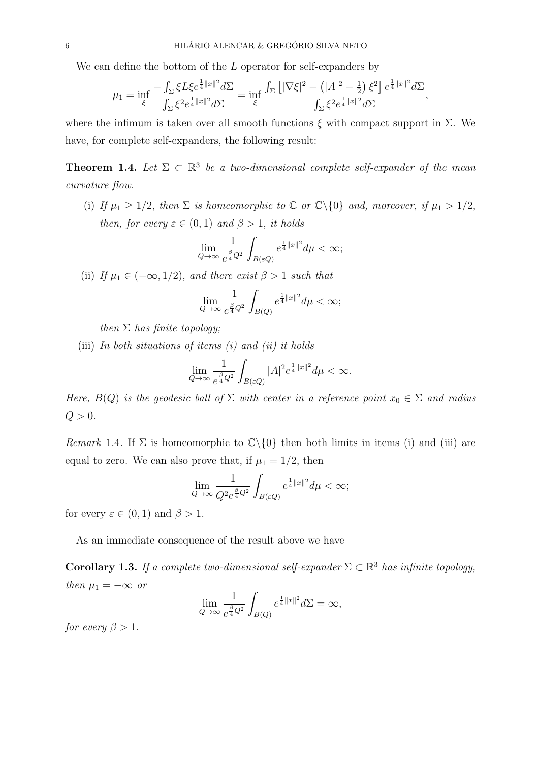We can define the bottom of the L operator for self-expanders by

$$
\mu_1 = \inf_{\xi} \frac{-\int_{\Sigma} \xi L \xi e^{\frac{1}{4}||x||^2} d\Sigma}{\int_{\Sigma} \xi^2 e^{\frac{1}{4}||x||^2} d\Sigma} = \inf_{\xi} \frac{\int_{\Sigma} \left[ |\nabla \xi|^2 - (|A|^2 - \frac{1}{2}) \xi^2 \right] e^{\frac{1}{4}||x||^2} d\Sigma}{\int_{\Sigma} \xi^2 e^{\frac{1}{4}||x||^2} d\Sigma},
$$

where the infimum is taken over all smooth functions  $\xi$  with compact support in  $\Sigma$ . We have, for complete self-expanders, the following result:

**Theorem 1.4.** Let  $\Sigma \subset \mathbb{R}^3$  be a two-dimensional complete self-expander of the mean curvature flow.

(i) If  $\mu_1 \geq 1/2$ , then  $\Sigma$  is homeomorphic to  $\mathbb C$  or  $\mathbb C\backslash\{0\}$  and, moreover, if  $\mu_1 > 1/2$ , then, for every  $\varepsilon \in (0,1)$  and  $\beta > 1$ , it holds

$$
\lim_{Q\to\infty}\frac{1}{e^{\frac{\beta}{4}Q^2}}\int_{B(\varepsilon Q)}e^{\frac{1}{4}\|x\|^2}d\mu<\infty;
$$

(ii) If  $\mu_1 \in (-\infty, 1/2)$ , and there exist  $\beta > 1$  such that

$$
\lim_{Q \to \infty} \frac{1}{e^{\frac{\beta}{4}Q^2}} \int_{B(Q)} e^{\frac{1}{4}||x||^2} d\mu < \infty;
$$

then  $\Sigma$  has finite topology;

(iii) In both situations of items  $(i)$  and  $(ii)$  it holds

$$
\lim_{Q\to\infty}\frac{1}{e^{\frac{\beta}{4}Q^2}}\int_{B(\varepsilon Q)}|A|^2e^{\frac{1}{4}\|x\|^2}d\mu<\infty.
$$

Here,  $B(Q)$  is the geodesic ball of  $\Sigma$  with center in a reference point  $x_0 \in \Sigma$  and radius  $Q > 0$ .

Remark 1.4. If  $\Sigma$  is homeomorphic to  $\mathbb{C}\backslash\{0\}$  then both limits in items (i) and (iii) are equal to zero. We can also prove that, if  $\mu_1 = 1/2$ , then

$$
\lim_{Q\to\infty}\frac{1}{Q^2e^{\frac{\beta}{4}Q^2}}\int_{B(\varepsilon Q)}e^{\frac{1}{4}\|x\|^2}d\mu<\infty;
$$

for every  $\varepsilon \in (0,1)$  and  $\beta > 1$ .

As an immediate consequence of the result above we have

**Corollary 1.3.** If a complete two-dimensional self-expander  $\Sigma \subset \mathbb{R}^3$  has infinite topology, then  $\mu_1 = -\infty$  or

$$
\lim_{Q \to \infty} \frac{1}{e^{\frac{\beta}{4}Q^2}} \int_{B(Q)} e^{\frac{1}{4}||x||^2} d\Sigma = \infty,
$$

for every  $\beta > 1$ .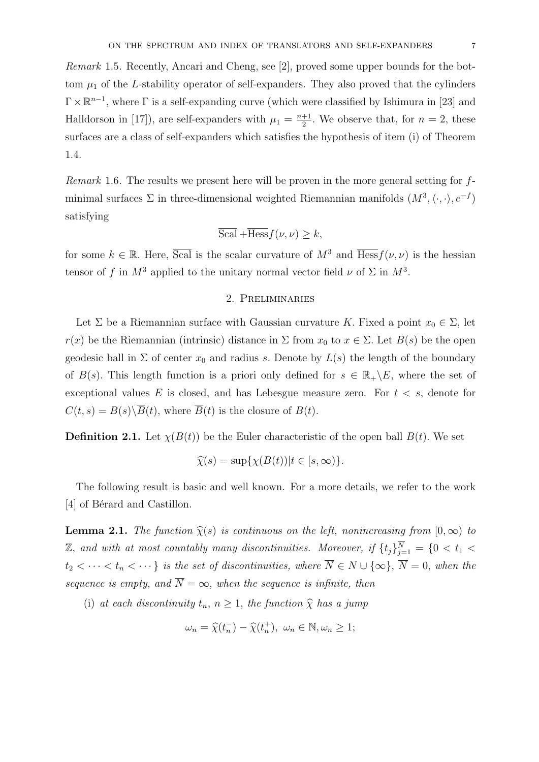Remark 1.5. Recently, Ancari and Cheng, see [2], proved some upper bounds for the bottom  $\mu_1$  of the L-stability operator of self-expanders. They also proved that the cylinders  $\Gamma \times \mathbb{R}^{n-1}$ , where  $\Gamma$  is a self-expanding curve (which were classified by Ishimura in [23] and Halldorson in [17]), are self-expanders with  $\mu_1 = \frac{n+1}{2}$  $\frac{+1}{2}$ . We observe that, for  $n = 2$ , these surfaces are a class of self-expanders which satisfies the hypothesis of item (i) of Theorem 1.4.

Remark 1.6. The results we present here will be proven in the more general setting for fminimal surfaces  $\Sigma$  in three-dimensional weighted Riemannian manifolds  $(M^3, \langle \cdot, \cdot \rangle, e^{-f})$ satisfying

$$
\overline{\mathrm{Scal}} + \overline{\mathrm{Hess}} f(\nu, \nu) \ge k,
$$

for some  $k \in \mathbb{R}$ . Here,  $\overline{Scal}$  is the scalar curvature of  $M^3$  and  $\overline{Hess} f(\nu, \nu)$  is the hessian tensor of f in  $M^3$  applied to the unitary normal vector field  $\nu$  of  $\Sigma$  in  $M^3$ .

### 2. Preliminaries

Let  $\Sigma$  be a Riemannian surface with Gaussian curvature K. Fixed a point  $x_0 \in \Sigma$ , let  $r(x)$  be the Riemannian (intrinsic) distance in  $\Sigma$  from  $x_0$  to  $x \in \Sigma$ . Let  $B(s)$  be the open geodesic ball in  $\Sigma$  of center  $x_0$  and radius s. Denote by  $L(s)$  the length of the boundary of  $B(s)$ . This length function is a priori only defined for  $s \in \mathbb{R}_+ \backslash E$ , where the set of exceptional values E is closed, and has Lebesgue measure zero. For  $t < s$ , denote for  $C(t, s) = B(s) \backslash \overline{B}(t)$ , where  $\overline{B}(t)$  is the closure of  $B(t)$ .

**Definition 2.1.** Let  $\chi(B(t))$  be the Euler characteristic of the open ball  $B(t)$ . We set

$$
\widehat{\chi}(s) = \sup \{ \chi(B(t)) | t \in [s, \infty) \}.
$$

The following result is basic and well known. For a more details, we refer to the work [4] of Bérard and Castillon.

**Lemma 2.1.** The function  $\hat{\chi}(s)$  is continuous on the left, nonincreasing from  $[0,\infty)$  to  $\mathbb{Z},$  and with at most countably many discontinuities. Moreover, if  $\{t_j\}_{j=1}^{\overline{N}} = \{0 \le t_1 \le t_2\}$  $t_2 < \cdots < t_n < \cdots$ } is the set of discontinuities, where  $\overline{N} \in N \cup \{\infty\}$ ,  $\overline{N} = 0$ , when the sequence is empty, and  $\overline{N} = \infty$ , when the sequence is infinite, then

(i) at each discontinuity  $t_n$ ,  $n \geq 1$ , the function  $\hat{\chi}$  has a jump

$$
\omega_n = \widehat{\chi}(t_n^-) - \widehat{\chi}(t_n^+), \ \omega_n \in \mathbb{N}, \omega_n \ge 1;
$$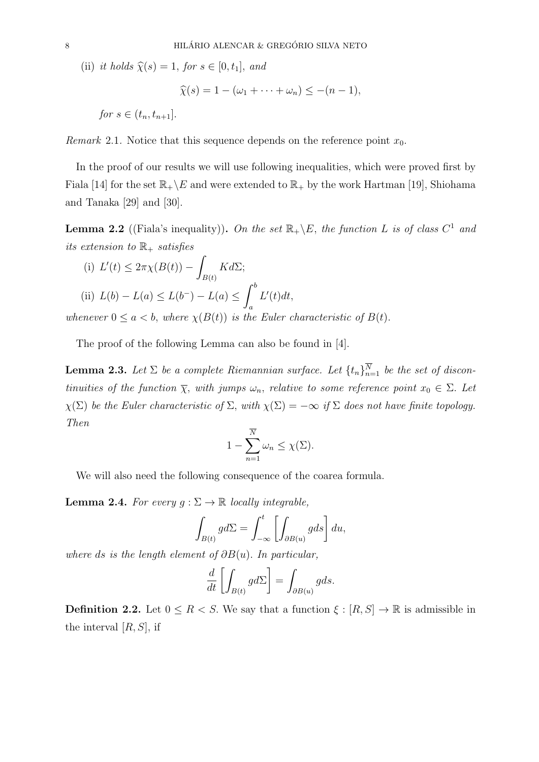(ii) it holds  $\widehat{\chi}(s) = 1$ , for  $s \in [0, t_1]$ , and

$$
\widehat{\chi}(s) = 1 - (\omega_1 + \cdots + \omega_n) \leq -(n-1),
$$

for  $s \in (t_n, t_{n+1}]$ .

Remark 2.1. Notice that this sequence depends on the reference point  $x_0$ .

In the proof of our results we will use following inequalities, which were proved first by Fiala [14] for the set  $\mathbb{R}_+ \backslash E$  and were extended to  $\mathbb{R}_+$  by the work Hartman [19], Shiohama and Tanaka [29] and [30].

**Lemma 2.2** ((Fiala's inequality)). On the set  $\mathbb{R}_+ \backslash E$ , the function L is of class  $C^1$  and its extension to  $\mathbb{R}_+$  satisfies

(i) 
$$
L'(t) \leq 2\pi \chi(B(t)) - \int_{B(t)} K d\Sigma;
$$
  
\n(ii)  $L(b) - L(a) \leq L(b^-) - L(a) \leq \int_a^b L'(t) dt,$ 

whenever  $0 \le a < b$ , where  $\chi(B(t))$  is the Euler characteristic of  $B(t)$ .

The proof of the following Lemma can also be found in [4].

**Lemma 2.3.** Let  $\Sigma$  be a complete Riemannian surface. Let  $\{t_n\}_{n=1}^N$  be the set of discontinuities of the function  $\overline{\chi}$ , with jumps  $\omega_n$ , relative to some reference point  $x_0 \in \Sigma$ . Let  $\chi(\Sigma)$  be the Euler characteristic of  $\Sigma$ , with  $\chi(\Sigma) = -\infty$  if  $\Sigma$  does not have finite topology. Then

$$
1 - \sum_{n=1}^{\overline{N}} \omega_n \leq \chi(\Sigma).
$$

We will also need the following consequence of the coarea formula.

**Lemma 2.4.** For every  $g : \Sigma \to \mathbb{R}$  locally integrable,

$$
\int_{B(t)} g d\Sigma = \int_{-\infty}^{t} \left[ \int_{\partial B(u)} g ds \right] du,
$$

where ds is the length element of  $\partial B(u)$ . In particular,

$$
\frac{d}{dt} \left[ \int_{B(t)} g d\Sigma \right] = \int_{\partial B(u)} g ds.
$$

**Definition 2.2.** Let  $0 \leq R < S$ . We say that a function  $\xi : [R, S] \to \mathbb{R}$  is admissible in the interval  $[R, S]$ , if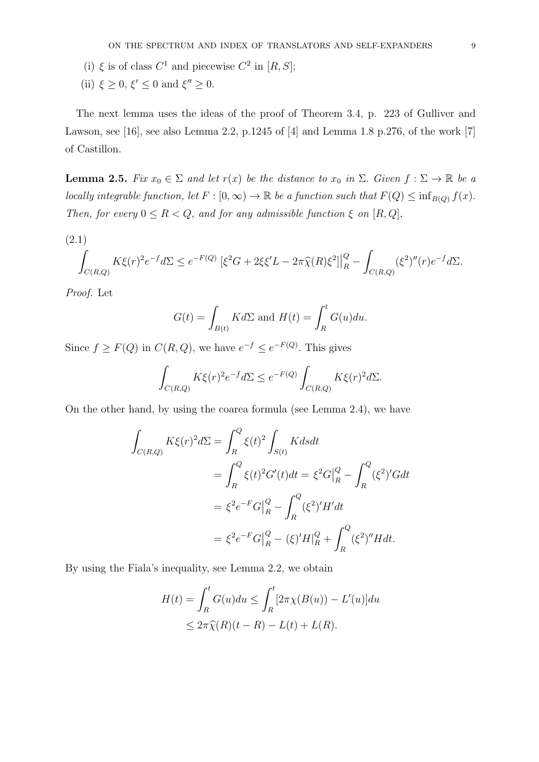- (i)  $\xi$  is of class  $C^1$  and piecewise  $C^2$  in  $[R, S];$
- (ii)  $\xi \geq 0$ ,  $\xi' \leq 0$  and  $\xi'' \geq 0$ .

The next lemma uses the ideas of the proof of Theorem 3.4, p. 223 of Gulliver and Lawson, see [16], see also Lemma 2.2, p.1245 of [4] and Lemma 1.8 p.276, of the work [7] of Castillon.

**Lemma 2.5.** Fix  $x_0 \in \Sigma$  and let  $r(x)$  be the distance to  $x_0$  in  $\Sigma$ . Given  $f : \Sigma \to \mathbb{R}$  be a locally integrable function, let  $F : [0, \infty) \to \mathbb{R}$  be a function such that  $F(Q) \leq \inf_{B(Q)} f(x)$ . Then, for every  $0 \leq R < Q$ , and for any admissible function  $\xi$  on  $[R, Q]$ ,

ˆ  $C(R,Q)$  $K\xi(r)^{2}e^{-f}d\Sigma \leq e^{-F(Q)} \left[\xi^{2}G + 2\xi \xi'L - 2\pi \widehat{\chi}(R)\xi^{2}\right]$ Q  $\frac{Q}{R}$  - $C(R,Q)$  $(\xi^2)''(r)e^{-f}d\Sigma$ . (2.1)

Proof. Let

$$
G(t) = \int_{B(t)} K d\Sigma \text{ and } H(t) = \int_{R}^{t} G(u) du.
$$

Since  $f \geq F(Q)$  in  $C(R, Q)$ , we have  $e^{-f} \leq e^{-F(Q)}$ . This gives

$$
\int_{C(R,Q)} K\xi(r)^2 e^{-f} d\Sigma \le e^{-F(Q)} \int_{C(R,Q)} K\xi(r)^2 d\Sigma.
$$

On the other hand, by using the coarea formula (see Lemma 2.4), we have

$$
\int_{C(R,Q)} K\xi(r)^{2} d\Sigma = \int_{R}^{Q} \xi(t)^{2} \int_{S(t)} K ds dt
$$
  
= 
$$
\int_{R}^{Q} \xi(t)^{2} G'(t) dt = \xi^{2} G \Big|_{R}^{Q} - \int_{R}^{Q} (\xi^{2})' G dt
$$
  
= 
$$
\xi^{2} e^{-F} G \Big|_{R}^{Q} - \int_{R}^{Q} (\xi^{2})' H' dt
$$
  
= 
$$
\xi^{2} e^{-F} G \Big|_{R}^{Q} - (\xi)' H \Big|_{R}^{Q} + \int_{R}^{Q} (\xi^{2})'' H dt.
$$

By using the Fiala's inequality, see Lemma 2.2, we obtain

$$
H(t) = \int_R^t G(u) du \le \int_R^t [2\pi \chi(B(u)) - L'(u)] du
$$
  

$$
\le 2\pi \widehat{\chi}(R)(t - R) - L(t) + L(R).
$$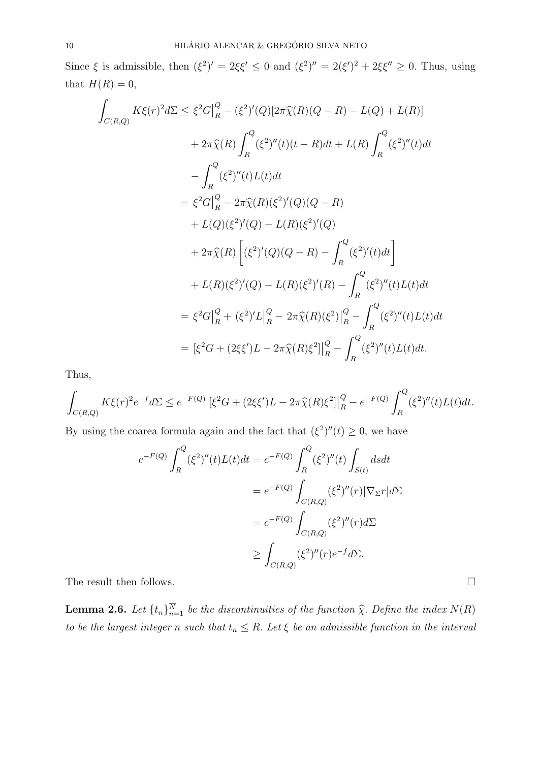Since  $\xi$  is admissible, then  $(\xi^2)' = 2\xi \xi' \leq 0$  and  $(\xi^2)'' = 2(\xi')^2 + 2\xi \xi'' \geq 0$ . Thus, using that  $H(R) = 0$ ,

$$
\int_{C(R,Q)} K\xi(r)^{2} d\Sigma \leq \xi^{2} G|_{R}^{Q} - (\xi^{2})'(Q)[2\pi\hat{\chi}(R)(Q-R) - L(Q) + L(R)]
$$
  
+  $2\pi\hat{\chi}(R) \int_{R}^{Q} (\xi^{2})''(t)(t-R)dt + L(R) \int_{R}^{Q} (\xi^{2})''(t)dt$   
-  $\int_{R}^{Q} (\xi^{2})''(t)L(t)dt$   
=  $\xi^{2} G|_{R}^{Q} - 2\pi\hat{\chi}(R)(\xi^{2})'(Q)(Q-R)$   
+  $L(Q)(\xi^{2})'(Q) - L(R)(\xi^{2})'(Q)$   
+  $2\pi\hat{\chi}(R) [(\xi^{2})'(Q)(Q-R) - \int_{R}^{Q} (\xi^{2})'(t)dt]$   
+  $L(R)(\xi^{2})'(Q) - L(R)(\xi^{2})'(R) - \int_{R}^{Q} (\xi^{2})''(t)L(t)dt$   
=  $\xi^{2} G|_{R}^{Q} + (\xi^{2})' L|_{R}^{Q} - 2\pi\hat{\chi}(R)(\xi^{2})|_{R}^{Q} - \int_{R}^{Q} (\xi^{2})''(t)L(t)dt$   
=  $[\xi^{2}G + (2\xi\xi')L - 2\pi\hat{\chi}(R)\xi^{2}]|_{R}^{Q} - \int_{R}^{Q} (\xi^{2})''(t)L(t)dt$ .

Thus,

$$
\int_{C(R,Q)} K\xi(r)^2 e^{-f} d\Sigma \le e^{-F(Q)} \left[ \xi^2 G + (2\xi \xi') L - 2\pi \widehat{\chi}(R) \xi^2 \right] \Big|_{R}^Q - e^{-F(Q)} \int_{R}^Q (\xi^2)''(t) L(t) dt.
$$

By using the coarea formula again and the fact that  $(\xi^2)''(t) \geq 0$ , we have

$$
e^{-F(Q)} \int_{R}^{Q} (\xi^2)''(t) L(t) dt = e^{-F(Q)} \int_{R}^{Q} (\xi^2)''(t) \int_{S(t)} ds dt
$$
  

$$
= e^{-F(Q)} \int_{C(R,Q)} (\xi^2)''(r) |\nabla_{\Sigma} r| d\Sigma
$$
  

$$
= e^{-F(Q)} \int_{C(R,Q)} (\xi^2)''(r) d\Sigma
$$
  

$$
\geq \int_{C(R,Q)} (\xi^2)''(r) e^{-f} d\Sigma.
$$

The result then follows.  $\hfill \square$ 

**Lemma 2.6.** Let  $\{t_n\}_{n=1}^N$  be the discontinuities of the function  $\hat{\chi}$ . Define the index  $N(R)$ to be the largest integer n such that  $t_n \leq R$ . Let  $\xi$  be an admissible function in the interval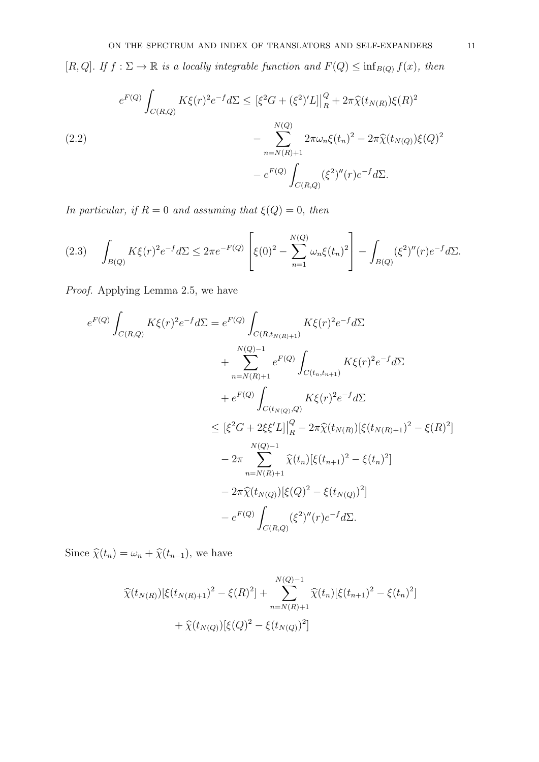[R, Q]. If  $f : \Sigma \to \mathbb{R}$  is a locally integrable function and  $F(Q) \leq \inf_{B(Q)} f(x)$ , then

(2.2)  
\n
$$
e^{F(Q)} \int_{C(R,Q)} K\xi(r)^{2} e^{-f} d\Sigma \leq [\xi^{2} G + (\xi^{2})' L] \Big|_{R}^{Q} + 2\pi \hat{\chi}(t_{N(R)}) \xi(R)^{2}
$$
\n
$$
- \sum_{n=N(R)+1}^{N(Q)} 2\pi \omega_{n} \xi(t_{n})^{2} - 2\pi \hat{\chi}(t_{N(Q)}) \xi(Q)^{2}
$$
\n
$$
- e^{F(Q)} \int_{C(R,Q)} (\xi^{2})''(r) e^{-f} d\Sigma.
$$

In particular, if  $R = 0$  and assuming that  $\xi(Q) = 0$ , then

$$
(2.3) \quad \int_{B(Q)} K\xi(r)^2 e^{-f} d\Sigma \leq 2\pi e^{-F(Q)} \left[ \xi(0)^2 - \sum_{n=1}^{N(Q)} \omega_n \xi(t_n)^2 \right] - \int_{B(Q)} (\xi^2)''(r) e^{-f} d\Sigma.
$$

Proof. Applying Lemma 2.5, we have

$$
e^{F(Q)} \int_{C(R,Q)} K\xi(r)^{2} e^{-f} d\Sigma = e^{F(Q)} \int_{C(R,t_{N(R)+1})} K\xi(r)^{2} e^{-f} d\Sigma
$$
  
+ 
$$
\sum_{n=N(R)+1}^{N(Q)-1} e^{F(Q)} \int_{C(t_{n},t_{n+1})} K\xi(r)^{2} e^{-f} d\Sigma
$$
  
+ 
$$
e^{F(Q)} \int_{C(t_{N(Q)},Q)} K\xi(r)^{2} e^{-f} d\Sigma
$$
  

$$
\leq [\xi^{2} G + 2\xi^{2} L] \Big|_{R}^{Q} - 2\pi \widehat{\chi}(t_{N(R)}) [\xi(t_{N(R)+1})^{2} - \xi(R)^{2}]
$$
  
- 
$$
- 2\pi \sum_{n=N(R)+1}^{N(Q)-1} \widehat{\chi}(t_{n}) [\xi(t_{n+1})^{2} - \xi(t_{n})^{2}]
$$
  
- 
$$
- 2\pi \widehat{\chi}(t_{N(Q)}) [\xi(Q)^{2} - \xi(t_{N(Q)})^{2}]
$$
  
- 
$$
e^{F(Q)} \int_{C(R,Q)} (\xi^{2})''(r) e^{-f} d\Sigma.
$$

Since  $\widehat{\chi}(t_n) = \omega_n + \widehat{\chi}(t_{n-1}),$  we have

$$
\widehat{\chi}(t_{N(R)})[\xi(t_{N(R)+1})^2 - \xi(R)^2] + \sum_{n=N(R)+1}^{N(Q)-1} \widehat{\chi}(t_n)[\xi(t_{n+1})^2 - \xi(t_n)^2] + \widehat{\chi}(t_{N(Q)})[\xi(Q)^2 - \xi(t_{N(Q)})^2]
$$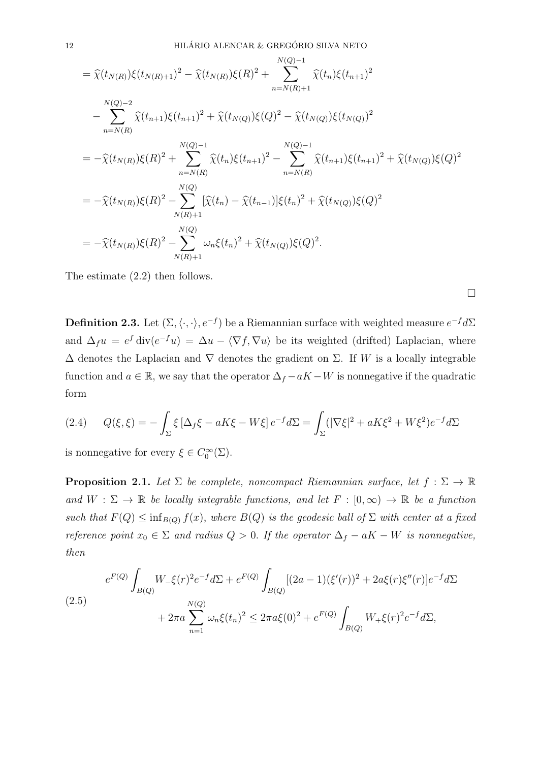$$
= \hat{\chi}(t_{N(R)})\xi(t_{N(R)+1})^{2} - \hat{\chi}(t_{N(R)})\xi(R)^{2} + \sum_{n=N(R)+1}^{N(Q)-1} \hat{\chi}(t_{n})\xi(t_{n+1})^{2}
$$
  
\n
$$
- \sum_{n=N(R)}^{N(Q)-2} \hat{\chi}(t_{n+1})\xi(t_{n+1})^{2} + \hat{\chi}(t_{N(Q)})\xi(Q)^{2} - \hat{\chi}(t_{N(Q)})\xi(t_{N(Q)})^{2}
$$
  
\n
$$
= -\hat{\chi}(t_{N(R)})\xi(R)^{2} + \sum_{n=N(R)}^{N(Q)-1} \hat{\chi}(t_{n})\xi(t_{n+1})^{2} - \sum_{n=N(R)}^{N(Q)-1} \hat{\chi}(t_{n+1})\xi(t_{n+1})^{2} + \hat{\chi}(t_{N(Q)})\xi(Q)^{2}
$$
  
\n
$$
= -\hat{\chi}(t_{N(R)})\xi(R)^{2} - \sum_{N(R)+1}^{N(Q)} [\hat{\chi}(t_{n}) - \hat{\chi}(t_{n-1})]\xi(t_{n})^{2} + \hat{\chi}(t_{N(Q)})\xi(Q)^{2}
$$
  
\n
$$
= -\hat{\chi}(t_{N(R)})\xi(R)^{2} - \sum_{N(R)+1}^{N(Q)} \omega_{n}\xi(t_{n})^{2} + \hat{\chi}(t_{N(Q)})\xi(Q)^{2}.
$$

The estimate (2.2) then follows.

 $\Box$ 

**Definition 2.3.** Let  $(\Sigma, \langle \cdot, \cdot \rangle, e^{-f})$  be a Riemannian surface with weighted measure  $e^{-f}d\Sigma$ and  $\Delta_f u = e^f \text{div}(e^{-f}u) = \Delta u - \langle \nabla f, \nabla u \rangle$  be its weighted (drifted) Laplacian, where  $\Delta$  denotes the Laplacian and  $\nabla$  denotes the gradient on  $\Sigma$ . If W is a locally integrable function and  $a \in \mathbb{R}$ , we say that the operator  $\Delta_f - aK - W$  is nonnegative if the quadratic form

(2.4) 
$$
Q(\xi,\xi) = -\int_{\Sigma} \xi \left[\Delta_f \xi - aK\xi - W\xi\right] e^{-f} d\Sigma = \int_{\Sigma} (|\nabla \xi|^2 + aK\xi^2 + W\xi^2) e^{-f} d\Sigma
$$

is nonnegative for every  $\xi \in C_0^{\infty}(\Sigma)$ .

**Proposition 2.1.** Let  $\Sigma$  be complete, noncompact Riemannian surface, let  $f : \Sigma \to \mathbb{R}$ and  $W : \Sigma \to \mathbb{R}$  be locally integrable functions, and let  $F : [0, \infty) \to \mathbb{R}$  be a function such that  $F(Q) \leq \inf_{B(Q)} f(x)$ , where  $B(Q)$  is the geodesic ball of  $\Sigma$  with center at a fixed reference point  $x_0 \in \Sigma$  and radius  $Q > 0$ . If the operator  $\Delta_f - aK - W$  is nonnegative, then

$$
e^{F(Q)} \int_{B(Q)} W_{-} \xi(r)^{2} e^{-f} d\Sigma + e^{F(Q)} \int_{B(Q)} [(2a-1)(\xi'(r))^{2} + 2a\xi(r)\xi''(r)] e^{-f} d\Sigma
$$
  

$$
+ 2\pi a \sum_{n=1}^{N(Q)} \omega_{n} \xi(t_{n})^{2} \leq 2\pi a \xi(0)^{2} + e^{F(Q)} \int_{B(Q)} W_{+} \xi(r)^{2} e^{-f} d\Sigma,
$$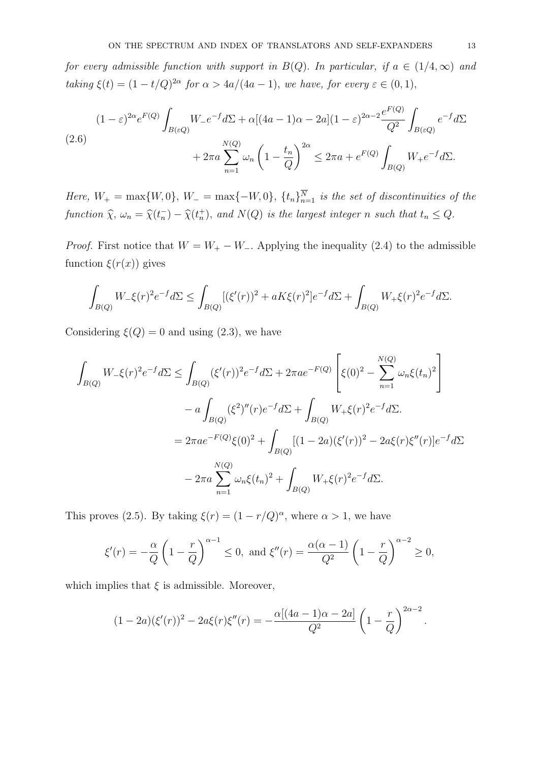for every admissible function with support in  $B(Q)$ . In particular, if  $a \in (1/4,\infty)$  and taking  $\xi(t) = (1 - t/Q)^{2\alpha}$  for  $\alpha > 4a/(4a - 1)$ , we have, for every  $\varepsilon \in (0, 1)$ ,

$$
(1 - \varepsilon)^{2\alpha} e^{F(Q)} \int_{B(\varepsilon Q)} W_- e^{-f} d\Sigma + \alpha [(4a - 1)\alpha - 2a](1 - \varepsilon)^{2\alpha - 2} \frac{e^{F(Q)}}{Q^2} \int_{B(\varepsilon Q)} e^{-f} d\Sigma
$$
  

$$
+ 2\pi a \sum_{n=1}^{N(Q)} \omega_n \left(1 - \frac{t_n}{Q}\right)^{2\alpha} \le 2\pi a + e^{F(Q)} \int_{B(Q)} W_+ e^{-f} d\Sigma.
$$

Here,  $W_+ = \max\{W, 0\}$ ,  $W_- = \max\{-W, 0\}$ ,  $\{t_n\}_{n=1}^N$  is the set of discontinuities of the function  $\hat{\chi}, \omega_n = \hat{\chi}(t_n^-) - \hat{\chi}(t_n^+)$ , and  $N(Q)$  is the largest integer n such that  $t_n \leq Q$ .

*Proof.* First notice that  $W = W_+ - W_-$ . Applying the inequality (2.4) to the admissible function  $\xi(r(x))$  gives

$$
\int_{B(Q)} W_{-} \xi(r)^{2} e^{-f} d\Sigma \le \int_{B(Q)} [(\xi'(r))^{2} + aK\xi(r)^{2}] e^{-f} d\Sigma + \int_{B(Q)} W_{+} \xi(r)^{2} e^{-f} d\Sigma.
$$

Considering  $\xi(Q) = 0$  and using (2.3), we have

$$
\int_{B(Q)} W_{-}\xi(r)^{2}e^{-f}d\Sigma \leq \int_{B(Q)} (\xi'(r))^{2}e^{-f}d\Sigma + 2\pi ae^{-F(Q)} \left[ \xi(0)^{2} - \sum_{n=1}^{N(Q)} \omega_{n}\xi(t_{n})^{2} \right]
$$

$$
- a \int_{B(Q)} (\xi^{2})''(r)e^{-f}d\Sigma + \int_{B(Q)} W_{+}\xi(r)^{2}e^{-f}d\Sigma.
$$

$$
= 2\pi ae^{-F(Q)}\xi(0)^{2} + \int_{B(Q)} [(1 - 2a)(\xi'(r))^{2} - 2a\xi(r)\xi''(r)]e^{-f}d\Sigma
$$

$$
- 2\pi a \sum_{n=1}^{N(Q)} \omega_{n}\xi(t_{n})^{2} + \int_{B(Q)} W_{+}\xi(r)^{2}e^{-f}d\Sigma.
$$

This proves (2.5). By taking  $\xi(r) = (1 - r/Q)^{\alpha}$ , where  $\alpha > 1$ , we have

$$
\xi'(r) = -\frac{\alpha}{Q} \left( 1 - \frac{r}{Q} \right)^{\alpha - 1} \le 0, \text{ and } \xi''(r) = \frac{\alpha(\alpha - 1)}{Q^2} \left( 1 - \frac{r}{Q} \right)^{\alpha - 2} \ge 0,
$$

which implies that  $\xi$  is admissible. Moreover,

$$
(1-2a)(\xi'(r))^{2} - 2a\xi(r)\xi''(r) = -\frac{\alpha[(4a-1)\alpha-2a]}{Q^{2}}\left(1-\frac{r}{Q}\right)^{2\alpha-2}.
$$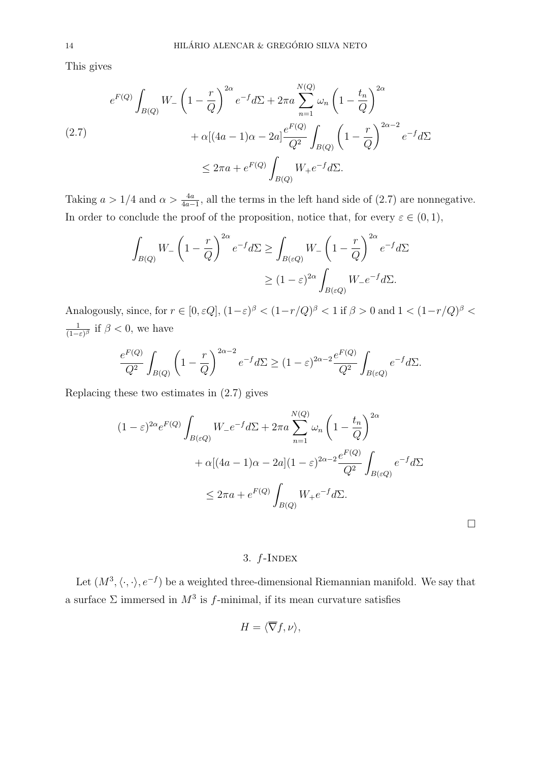This gives

$$
e^{F(Q)} \int_{B(Q)} W_{-} \left(1 - \frac{r}{Q}\right)^{2\alpha} e^{-f} d\Sigma + 2\pi a \sum_{n=1}^{N(Q)} \omega_n \left(1 - \frac{t_n}{Q}\right)^{2\alpha} + \alpha[(4a - 1)\alpha - 2a] \frac{e^{F(Q)}}{Q^2} \int_{B(Q)} \left(1 - \frac{r}{Q}\right)^{2\alpha - 2} e^{-f} d\Sigma \leq 2\pi a + e^{F(Q)} \int_{B(Q)} W_{+} e^{-f} d\Sigma.
$$

Taking  $a > 1/4$  and  $\alpha > \frac{4a}{4a-1}$ , all the terms in the left hand side of (2.7) are nonnegative. In order to conclude the proof of the proposition, notice that, for every  $\varepsilon \in (0,1)$ ,

$$
\int_{B(Q)} W_{-} \left( 1 - \frac{r}{Q} \right)^{2\alpha} e^{-f} d\Sigma \ge \int_{B(\varepsilon Q)} W_{-} \left( 1 - \frac{r}{Q} \right)^{2\alpha} e^{-f} d\Sigma
$$

$$
\ge (1 - \varepsilon)^{2\alpha} \int_{B(\varepsilon Q)} W_{-} e^{-f} d\Sigma.
$$

Analogously, since, for  $r \in [0, \varepsilon Q]$ ,  $(1-\varepsilon)^{\beta} < (1-r/Q)^{\beta} < 1$  if  $\beta > 0$  and  $1 < (1-r/Q)^{\beta} <$ 1  $\frac{1}{(1-\varepsilon)^{\beta}}$  if  $\beta < 0$ , we have

$$
\frac{e^{F(Q)}}{Q^2} \int_{B(Q)} \left(1 - \frac{r}{Q}\right)^{2\alpha - 2} e^{-f} d\Sigma \ge (1 - \varepsilon)^{2\alpha - 2} \frac{e^{F(Q)}}{Q^2} \int_{B(\varepsilon Q)} e^{-f} d\Sigma.
$$

Replacing these two estimates in (2.7) gives

$$
(1 - \varepsilon)^{2\alpha} e^{F(Q)} \int_{B(\varepsilon Q)} W_{-}e^{-f} d\Sigma + 2\pi a \sum_{n=1}^{N(Q)} \omega_n \left(1 - \frac{t_n}{Q}\right)^{2\alpha}
$$

$$
+ \alpha [(4a - 1)\alpha - 2a](1 - \varepsilon)^{2\alpha - 2} \frac{e^{F(Q)}}{Q^2} \int_{B(\varepsilon Q)} e^{-f} d\Sigma
$$

$$
\leq 2\pi a + e^{F(Q)} \int_{B(Q)} W_{+}e^{-f} d\Sigma.
$$

 $\Box$ 

# 3.  $f$ -INDEX

Let  $(M^3, \langle \cdot, \cdot \rangle, e^{-f})$  be a weighted three-dimensional Riemannian manifold. We say that a surface  $\Sigma$  immersed in  $M^3$  is f-minimal, if its mean curvature satisfies

$$
H=\langle \overline{\nabla}f, \nu \rangle,
$$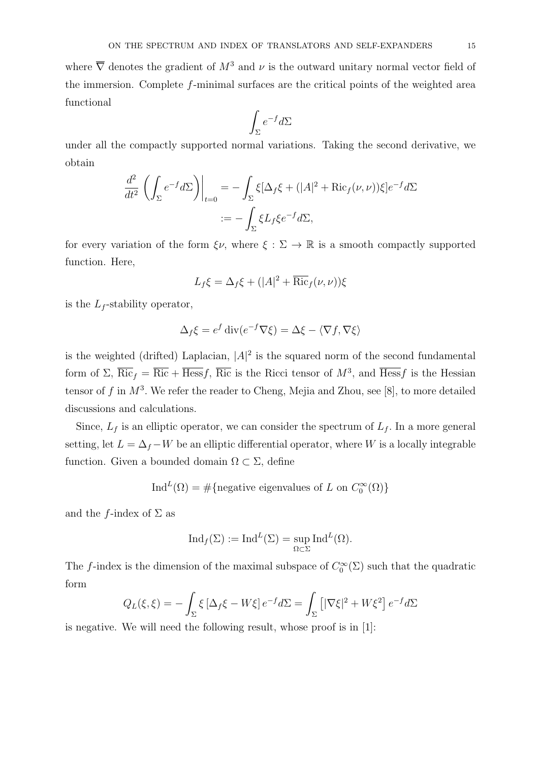where  $\overline{\nabla}$  denotes the gradient of  $M^3$  and  $\nu$  is the outward unitary normal vector field of the immersion. Complete f-minimal surfaces are the critical points of the weighted area functional

$$
\int_{\Sigma} e^{-f} d\Sigma
$$

under all the compactly supported normal variations. Taking the second derivative, we obtain

$$
\frac{d^2}{dt^2} \left( \int_{\Sigma} e^{-f} d\Sigma \right) \Big|_{t=0} = -\int_{\Sigma} \xi [\Delta_f \xi + (|A|^2 + \text{Ric}_f(\nu, \nu)) \xi] e^{-f} d\Sigma
$$

$$
:= -\int_{\Sigma} \xi L_f \xi e^{-f} d\Sigma,
$$

for every variation of the form  $\xi \nu$ , where  $\xi : \Sigma \to \mathbb{R}$  is a smooth compactly supported function. Here,

$$
L_f \xi = \Delta_f \xi + (|A|^2 + \overline{\text{Ric}}_f(\nu, \nu))\xi
$$

is the  $L_f$ -stability operator,

$$
\Delta_f \xi = e^f \operatorname{div} (e^{-f} \nabla \xi) = \Delta \xi - \langle \nabla f, \nabla \xi \rangle
$$

is the weighted (drifted) Laplacian,  $|A|^2$  is the squared norm of the second fundamental form of  $\Sigma$ ,  $\overline{\mathrm{Ric}}_f = \overline{\mathrm{Ric}} + \overline{\mathrm{Hess}} f$ ,  $\overline{\mathrm{Ric}}$  is the Ricci tensor of  $M^3$ , and  $\overline{\mathrm{Hess}} f$  is the Hessian tensor of f in  $M^3$ . We refer the reader to Cheng, Mejia and Zhou, see [8], to more detailed discussions and calculations.

Since,  $L_f$  is an elliptic operator, we can consider the spectrum of  $L_f$ . In a more general setting, let  $L = \Delta_f - W$  be an elliptic differential operator, where W is a locally integrable function. Given a bounded domain  $\Omega \subset \Sigma$ , define

$$
Ind^{L}(\Omega) = \#\{\text{negative eigenvalues of } L \text{ on } C_0^{\infty}(\Omega)\}\
$$

and the f-index of  $\Sigma$  as

$$
\mathrm{Ind}_f(\Sigma) := \mathrm{Ind}^L(\Sigma) = \sup_{\Omega \subset \Sigma} \mathrm{Ind}^L(\Omega).
$$

The f-index is the dimension of the maximal subspace of  $C_0^{\infty}(\Sigma)$  such that the quadratic form

$$
Q_L(\xi, \xi) = -\int_{\Sigma} \xi \left[ \Delta_f \xi - W \xi \right] e^{-f} d\Sigma = \int_{\Sigma} \left[ |\nabla \xi|^2 + W \xi^2 \right] e^{-f} d\Sigma
$$

is negative. We will need the following result, whose proof is in [1]: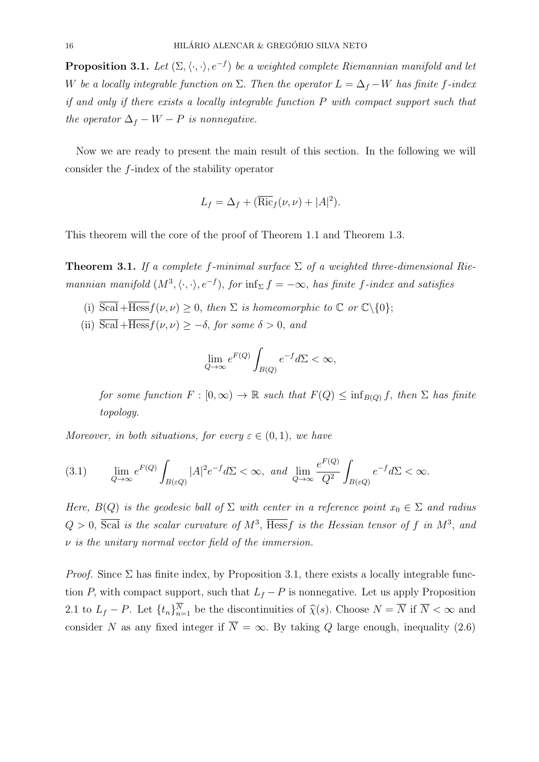**Proposition 3.1.** Let  $(\Sigma, \langle \cdot, \cdot \rangle, e^{-f})$  be a weighted complete Riemannian manifold and let W be a locally integrable function on  $\Sigma$ . Then the operator  $L = \Delta_f - W$  has finite f-index if and only if there exists a locally integrable function P with compact support such that the operator  $\Delta_f - W - P$  is nonnegative.

Now we are ready to present the main result of this section. In the following we will consider the f-index of the stability operator

$$
L_f = \Delta_f + (\overline{\text{Ric}}_f(\nu, \nu) + |A|^2).
$$

This theorem will the core of the proof of Theorem 1.1 and Theorem 1.3.

**Theorem 3.1.** If a complete f-minimal surface  $\Sigma$  of a weighted three-dimensional Riemannian manifold  $(M^3, \langle \cdot, \cdot \rangle, e^{-f}),$  for  $\inf_{\Sigma} f = -\infty$ , has finite f-index and satisfies

- (i)  $\overline{\text{Scal}} + \overline{\text{Hess}} f(\nu, \nu) \geq 0$ , then  $\Sigma$  is homeomorphic to  $\mathbb C$  or  $\mathbb C\setminus\{0\};$
- (ii)  $\overline{\text{Scal}} + \overline{\text{Hess}} f(\nu, \nu) \geq -\delta$ , for some  $\delta > 0$ , and

$$
\lim_{Q \to \infty} e^{F(Q)} \int_{B(Q)} e^{-f} d\Sigma < \infty,
$$

for some function  $F : [0, \infty) \to \mathbb{R}$  such that  $F(Q) \leq \inf_{B(Q)} f$ , then  $\Sigma$  has finite topology.

Moreover, in both situations, for every  $\varepsilon \in (0,1)$ , we have

(3.1) 
$$
\lim_{Q \to \infty} e^{F(Q)} \int_{B(\varepsilon Q)} |A|^2 e^{-f} d\Sigma < \infty, \text{ and } \lim_{Q \to \infty} \frac{e^{F(Q)}}{Q^2} \int_{B(\varepsilon Q)} e^{-f} d\Sigma < \infty.
$$

Here,  $B(Q)$  is the geodesic ball of  $\Sigma$  with center in a reference point  $x_0 \in \Sigma$  and radius  $Q > 0$ , Scal is the scalar curvature of  $M^3$ , Hessf is the Hessian tensor of f in  $M^3$ , and  $\nu$  is the unitary normal vector field of the immersion.

*Proof.* Since  $\Sigma$  has finite index, by Proposition 3.1, there exists a locally integrable function P, with compact support, such that  $L_f - P$  is nonnegative. Let us apply Proposition 2.1 to  $L_f - P$ . Let  $\{t_n\}_{n=1}^N$  be the discontinuities of  $\widehat{\chi}(s)$ . Choose  $N = \overline{N}$  if  $\overline{N} < \infty$  and consider N as any fixed integer if  $\overline{N} = \infty$ . By taking Q large enough, inequality (2.6)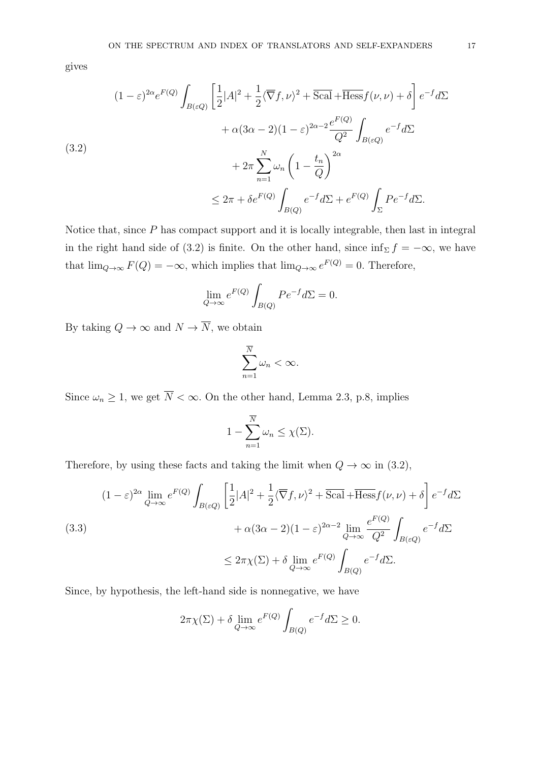gives

$$
(1 - \varepsilon)^{2\alpha} e^{F(Q)} \int_{B(\varepsilon Q)} \left[ \frac{1}{2} |A|^2 + \frac{1}{2} \langle \overline{\nabla} f, \nu \rangle^2 + \overline{\text{Scal}} + \overline{\text{Hess}} f(\nu, \nu) + \delta \right] e^{-f} d\Sigma
$$
  

$$
+ \alpha (3\alpha - 2)(1 - \varepsilon)^{2\alpha - 2} \frac{e^{F(Q)}}{Q^2} \int_{B(\varepsilon Q)} e^{-f} d\Sigma
$$
  

$$
+ 2\pi \sum_{n=1}^N \omega_n \left( 1 - \frac{t_n}{Q} \right)^{2\alpha}
$$
  

$$
\leq 2\pi + \delta e^{F(Q)} \int_{B(Q)} e^{-f} d\Sigma + e^{F(Q)} \int_{\Sigma} P e^{-f} d\Sigma.
$$

Notice that, since  $P$  has compact support and it is locally integrable, then last in integral in the right hand side of (3.2) is finite. On the other hand, since  $\inf_{\Sigma} f = -\infty$ , we have that  $\lim_{Q\to\infty} F(Q) = -\infty$ , which implies that  $\lim_{Q\to\infty} e^{F(Q)} = 0$ . Therefore,

$$
\lim_{Q \to \infty} e^{F(Q)} \int_{B(Q)} P e^{-f} d\Sigma = 0.
$$

By taking  $Q \to \infty$  and  $N \to \overline{N}$ , we obtain

$$
\sum_{n=1}^{\overline{N}}\omega_n < \infty.
$$

Since  $\omega_n \geq 1$ , we get  $\overline{N} < \infty$ . On the other hand, Lemma 2.3, p.8, implies

$$
1 - \sum_{n=1}^{\overline{N}} \omega_n \le \chi(\Sigma).
$$

Therefore, by using these facts and taking the limit when  $Q \to \infty$  in (3.2),

(3.3)  
\n
$$
(1 - \varepsilon)^{2\alpha} \lim_{Q \to \infty} e^{F(Q)} \int_{B(\varepsilon Q)} \left[ \frac{1}{2} |A|^2 + \frac{1}{2} \langle \overline{\nabla} f, \nu \rangle^2 + \overline{\text{Scal}} + \overline{\text{Hess}} f(\nu, \nu) + \delta \right] e^{-f} d\Sigma
$$
\n
$$
+ \alpha (3\alpha - 2)(1 - \varepsilon)^{2\alpha - 2} \lim_{Q \to \infty} \frac{e^{F(Q)}}{Q^2} \int_{B(\varepsilon Q)} e^{-f} d\Sigma
$$
\n
$$
\leq 2\pi \chi(\Sigma) + \delta \lim_{Q \to \infty} e^{F(Q)} \int_{B(Q)} e^{-f} d\Sigma.
$$

Since, by hypothesis, the left-hand side is nonnegative, we have

$$
2\pi\chi(\Sigma) + \delta \lim_{Q \to \infty} e^{F(Q)} \int_{B(Q)} e^{-f} d\Sigma \ge 0.
$$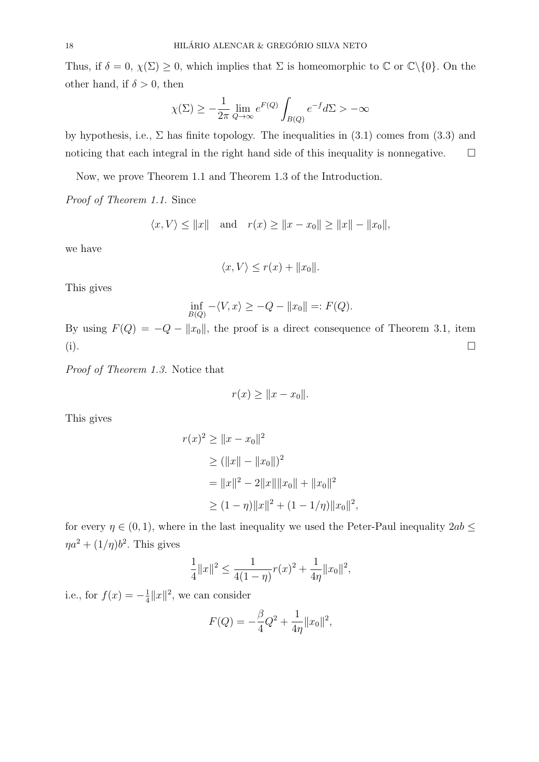Thus, if  $\delta = 0$ ,  $\chi(\Sigma) \geq 0$ , which implies that  $\Sigma$  is homeomorphic to  $\mathbb{C}$  or  $\mathbb{C}\setminus\{0\}$ . On the other hand, if  $\delta > 0$ , then

$$
\chi(\Sigma)\geq -\frac{1}{2\pi}\lim_{Q\to\infty}e^{F(Q)}\int_{B(Q)}e^{-f}d\Sigma>-\infty
$$

by hypothesis, i.e.,  $\Sigma$  has finite topology. The inequalities in (3.1) comes from (3.3) and noticing that each integral in the right hand side of this inequality is nonnegative.  $\Box$ 

Now, we prove Theorem 1.1 and Theorem 1.3 of the Introduction.

Proof of Theorem 1.1. Since

$$
\langle x, V \rangle \le ||x||
$$
 and  $r(x) \ge ||x - x_0|| \ge ||x|| - ||x_0||$ ,

we have

$$
\langle x, V \rangle \le r(x) + ||x_0||.
$$

This gives

$$
\inf_{B(Q)} -\langle V, x \rangle \ge -Q - \|x_0\| =: F(Q).
$$

By using  $F(Q) = -Q - ||x_0||$ , the proof is a direct consequence of Theorem 3.1, item (i).

Proof of Theorem 1.3. Notice that

$$
r(x) \ge ||x - x_0||.
$$

This gives

$$
r(x)^{2} \ge ||x - x_{0}||^{2}
$$
  
\n
$$
\ge (||x|| - ||x_{0}||)^{2}
$$
  
\n
$$
= ||x||^{2} - 2||x|| ||x_{0}|| + ||x_{0}||^{2}
$$
  
\n
$$
\ge (1 - \eta) ||x||^{2} + (1 - 1/\eta) ||x_{0}||^{2},
$$

for every  $\eta \in (0, 1)$ , where in the last inequality we used the Peter-Paul inequality  $2ab \leq$  $\eta a^2 + (1/\eta) b^2$ . This gives

$$
\frac{1}{4}||x||^2 \le \frac{1}{4(1-\eta)}r(x)^2 + \frac{1}{4\eta}||x_0||^2,
$$

i.e., for  $f(x) = -\frac{1}{4}$  $\frac{1}{4}||x||^2$ , we can consider

$$
F(Q) = -\frac{\beta}{4}Q^2 + \frac{1}{4\eta}||x_0||^2,
$$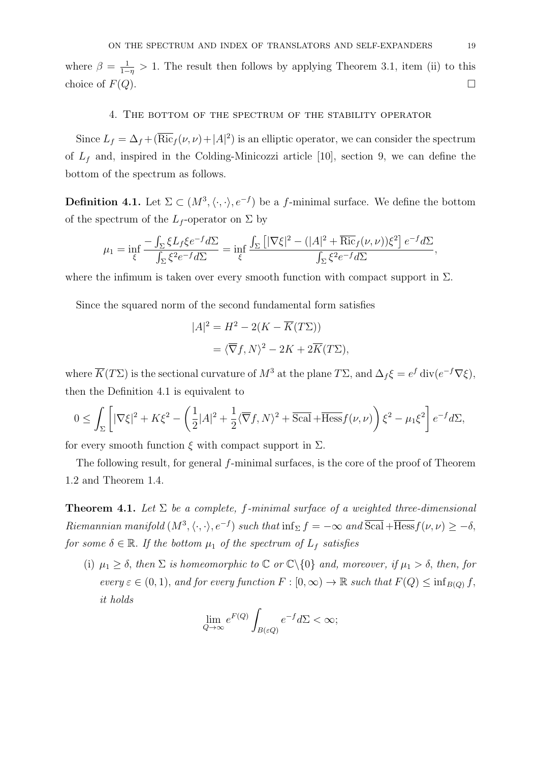where  $\beta = \frac{1}{1}$  $\frac{1}{1-\eta} > 1$ . The result then follows by applying Theorem 3.1, item (ii) to this choice of  $F(Q)$ .

## 4. The bottom of the spectrum of the stability operator

Since  $L_f = \Delta_f + (\overline{\text{Ric}}_f(\nu, \nu) + |A|^2)$  is an elliptic operator, we can consider the spectrum of  $L_f$  and, inspired in the Colding-Minicozzi article [10], section 9, we can define the bottom of the spectrum as follows.

**Definition 4.1.** Let  $\Sigma \subset (M^3, \langle \cdot, \cdot \rangle, e^{-f})$  be a f-minimal surface. We define the bottom of the spectrum of the  $L_f$ -operator on  $\Sigma$  by

$$
\mu_1 = \inf_{\xi} \frac{-\int_{\Sigma} \xi L_f \xi e^{-f} d\Sigma}{\int_{\Sigma} \xi^2 e^{-f} d\Sigma} = \inf_{\xi} \frac{\int_{\Sigma} \left[ |\nabla \xi|^2 - (|A|^2 + \overline{\text{Ric}}_f(\nu, \nu)) \xi^2 \right] e^{-f} d\Sigma}{\int_{\Sigma} \xi^2 e^{-f} d\Sigma},
$$

where the infimum is taken over every smooth function with compact support in  $\Sigma$ .

Since the squared norm of the second fundamental form satisfies

$$
|A|^2 = H^2 - 2(K - \overline{K}(T\Sigma))
$$
  
=  $\langle \overline{\nabla} f, N \rangle^2 - 2K + 2\overline{K}(T\Sigma),$ 

where  $\overline{K}(T\Sigma)$  is the sectional curvature of  $M^3$  at the plane  $T\Sigma$ , and  $\Delta_f \xi = e^f \operatorname{div}(e^{-f} \nabla \xi)$ , then the Definition 4.1 is equivalent to

$$
0 \leq \int_{\Sigma} \left[ |\nabla \xi|^2 + K \xi^2 - \left( \frac{1}{2} |A|^2 + \frac{1}{2} \langle \overline{\nabla} f, N \rangle^2 + \overline{\text{Scal}} + \overline{\text{Hess}} f(\nu, \nu) \right) \xi^2 - \mu_1 \xi^2 \right] e^{-f} d\Sigma,
$$

for every smooth function  $\xi$  with compact support in  $\Sigma$ .

The following result, for general f-minimal surfaces, is the core of the proof of Theorem 1.2 and Theorem 1.4.

**Theorem 4.1.** Let  $\Sigma$  be a complete, f-minimal surface of a weighted three-dimensional Riemannian manifold  $(M^3, \langle \cdot, \cdot \rangle, e^{-f})$  such that  $\inf_{\Sigma} f = -\infty$  and  $\overline{Scal} + \overline{Hess} f(\nu, \nu) \ge -\delta$ , for some  $\delta \in \mathbb{R}$ . If the bottom  $\mu_1$  of the spectrum of  $L_f$  satisfies

(i)  $\mu_1 \geq \delta$ , then  $\Sigma$  is homeomorphic to  $\mathbb{C}$  or  $\mathbb{C}\backslash\{0\}$  and, moreover, if  $\mu_1 > \delta$ , then, for every  $\varepsilon \in (0,1)$ , and for every function  $F : [0,\infty) \to \mathbb{R}$  such that  $F(Q) \leq \inf_{B(Q)} f$ , it holds

$$
\lim_{Q \to \infty} e^{F(Q)} \int_{B(\varepsilon Q)} e^{-f} d\Sigma < \infty;
$$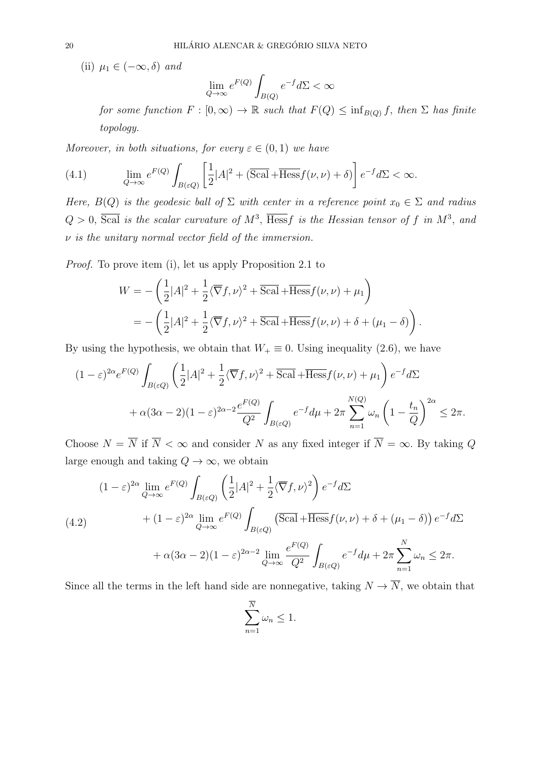(ii)  $\mu_1 \in (-\infty, \delta)$  and

$$
\lim_{Q \to \infty} e^{F(Q)} \int_{B(Q)} e^{-f} d\Sigma < \infty
$$

for some function  $F : [0, \infty) \to \mathbb{R}$  such that  $F(Q) \leq \inf_{B(Q)} f$ , then  $\Sigma$  has finite topology.

Moreover, in both situations, for every  $\varepsilon \in (0,1)$  we have

(4.1) 
$$
\lim_{Q \to \infty} e^{F(Q)} \int_{B(\varepsilon Q)} \left[ \frac{1}{2} |A|^2 + (\overline{\text{Scal}} + \overline{\text{Hess}} f(\nu, \nu) + \delta) \right] e^{-f} d\Sigma < \infty.
$$

Here,  $B(Q)$  is the geodesic ball of  $\Sigma$  with center in a reference point  $x_0 \in \Sigma$  and radius  $Q > 0$ , Scal is the scalar curvature of  $M^3$ , Hessf is the Hessian tensor of f in  $M^3$ , and  $\nu$  is the unitary normal vector field of the immersion.

Proof. To prove item (i), let us apply Proposition 2.1 to

$$
W = -\left(\frac{1}{2}|A|^2 + \frac{1}{2}\langle \overline{\nabla}f, \nu \rangle^2 + \overline{\text{Scal}} + \overline{\text{Hess}}f(\nu, \nu) + \mu_1\right)
$$
  
= 
$$
-\left(\frac{1}{2}|A|^2 + \frac{1}{2}\langle \overline{\nabla}f, \nu \rangle^2 + \overline{\text{Scal}} + \overline{\text{Hess}}f(\nu, \nu) + \delta + (\mu_1 - \delta)\right).
$$

By using the hypothesis, we obtain that  $W_+ \equiv 0$ . Using inequality (2.6), we have

$$
(1 - \varepsilon)^{2\alpha} e^{F(Q)} \int_{B(\varepsilon Q)} \left( \frac{1}{2} |A|^2 + \frac{1}{2} \langle \overline{\nabla} f, \nu \rangle^2 + \overline{\text{Scal}} + \overline{\text{Hess}} f(\nu, \nu) + \mu_1 \right) e^{-f} d\Sigma
$$
  
+  $\alpha (3\alpha - 2)(1 - \varepsilon)^{2\alpha - 2} \frac{e^{F(Q)}}{Q^2} \int_{B(\varepsilon Q)} e^{-f} d\mu + 2\pi \sum_{n=1}^{N(Q)} \omega_n \left( 1 - \frac{t_n}{Q} \right)^{2\alpha} \le 2\pi.$ 

Choose  $N = \overline{N}$  if  $\overline{N} < \infty$  and consider N as any fixed integer if  $\overline{N} = \infty$ . By taking Q large enough and taking  $Q \to \infty$ , we obtain

$$
(1 - \varepsilon)^{2\alpha} \lim_{Q \to \infty} e^{F(Q)} \int_{B(\varepsilon Q)} \left( \frac{1}{2} |A|^2 + \frac{1}{2} \langle \overline{\nabla} f, \nu \rangle^2 \right) e^{-f} d\Sigma
$$
  

$$
+ (1 - \varepsilon)^{2\alpha} \lim_{Q \to \infty} e^{F(Q)} \int_{B(\varepsilon Q)} \left( \overline{\text{Scal}} + \overline{\text{Hess}} f(\nu, \nu) + \delta + (\mu_1 - \delta) \right) e^{-f} d\Sigma
$$
  

$$
+ \alpha (3\alpha - 2)(1 - \varepsilon)^{2\alpha - 2} \lim_{Q \to \infty} \frac{e^{F(Q)}}{Q^2} \int_{B(\varepsilon Q)} e^{-f} d\mu + 2\pi \sum_{n=1}^N \omega_n \le 2\pi.
$$

Since all the terms in the left hand side are nonnegative, taking  $N \to \overline{N}$ , we obtain that

$$
\sum_{n=1}^{\overline{N}} \omega_n \le 1.
$$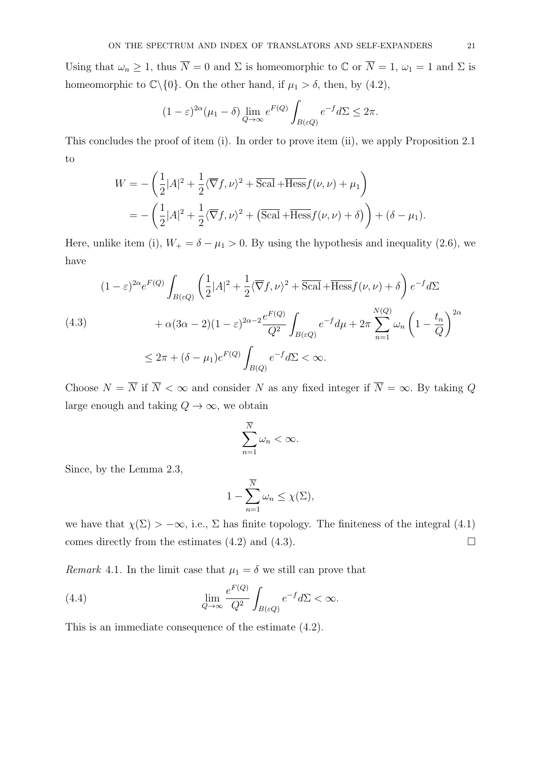Using that  $\omega_n \geq 1$ , thus  $\overline{N} = 0$  and  $\Sigma$  is homeomorphic to  $\mathbb{C}$  or  $\overline{N} = 1$ ,  $\omega_1 = 1$  and  $\Sigma$  is homeomorphic to  $\mathbb{C}\backslash\{0\}$ . On the other hand, if  $\mu_1 > \delta$ , then, by (4.2),

$$
(1 - \varepsilon)^{2\alpha} (\mu_1 - \delta) \lim_{Q \to \infty} e^{F(Q)} \int_{B(\varepsilon Q)} e^{-f} d\Sigma \le 2\pi.
$$

This concludes the proof of item (i). In order to prove item (ii), we apply Proposition 2.1 to

$$
W = -\left(\frac{1}{2}|A|^2 + \frac{1}{2}\langle \overline{\nabla}f, \nu\rangle^2 + \overline{\text{Scal}} + \overline{\text{Hess}}f(\nu, \nu) + \mu_1\right)
$$
  
= -\left(\frac{1}{2}|A|^2 + \frac{1}{2}\langle \overline{\nabla}f, \nu\rangle^2 + (\overline{\text{Scal}} + \overline{\text{Hess}}f(\nu, \nu) + \delta)\right) + (\delta - \mu\_1).

Here, unlike item (i),  $W_+ = \delta - \mu_1 > 0$ . By using the hypothesis and inequality (2.6), we have

$$
(1 - \varepsilon)^{2\alpha} e^{F(Q)} \int_{B(\varepsilon Q)} \left( \frac{1}{2} |A|^2 + \frac{1}{2} \langle \overline{\nabla} f, \nu \rangle^2 + \overline{\text{Scal}} + \overline{\text{Hess}} f(\nu, \nu) + \delta \right) e^{-f} d\Sigma
$$
  

$$
+ \alpha (3\alpha - 2)(1 - \varepsilon)^{2\alpha - 2} \frac{e^{F(Q)}}{Q^2} \int_{B(\varepsilon Q)} e^{-f} d\mu + 2\pi \sum_{n=1}^{N(Q)} \omega_n \left( 1 - \frac{t_n}{Q} \right)^{2\alpha}
$$
  

$$
\leq 2\pi + (\delta - \mu_1) e^{F(Q)} \int_{B(Q)} e^{-f} d\Sigma < \infty.
$$

Choose  $N = \overline{N}$  if  $\overline{N} < \infty$  and consider N as any fixed integer if  $\overline{N} = \infty$ . By taking Q large enough and taking  $Q \to \infty$ , we obtain

$$
\sum_{n=1}^{\overline{N}}\omega_n < \infty.
$$

Since, by the Lemma 2.3,

$$
1 - \sum_{n=1}^{\overline{N}} \omega_n \le \chi(\Sigma),
$$

we have that  $\chi(\Sigma) > -\infty$ , i.e.,  $\Sigma$  has finite topology. The finiteness of the integral (4.1) comes directly from the estimates  $(4.2)$  and  $(4.3)$ .

Remark 4.1. In the limit case that  $\mu_1 = \delta$  we still can prove that

(4.4) 
$$
\lim_{Q \to \infty} \frac{e^{F(Q)}}{Q^2} \int_{B(\varepsilon Q)} e^{-f} d\Sigma < \infty.
$$

This is an immediate consequence of the estimate (4.2).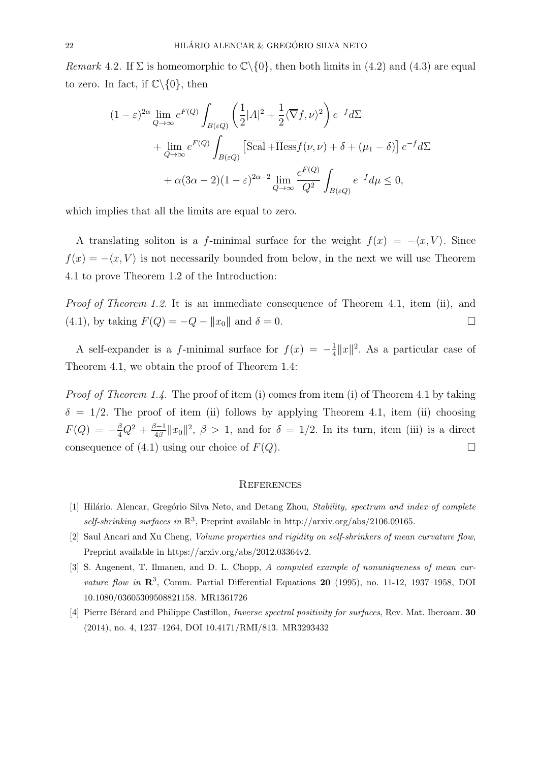Remark 4.2. If  $\Sigma$  is homeomorphic to  $\mathbb{C}\backslash\{0\}$ , then both limits in (4.2) and (4.3) are equal to zero. In fact, if  $\mathbb{C}\backslash\{0\}$ , then

$$
(1 - \varepsilon)^{2\alpha} \lim_{Q \to \infty} e^{F(Q)} \int_{B(\varepsilon Q)} \left( \frac{1}{2} |A|^2 + \frac{1}{2} \langle \overline{\nabla} f, \nu \rangle^2 \right) e^{-f} d\Sigma
$$
  
+ 
$$
\lim_{Q \to \infty} e^{F(Q)} \int_{B(\varepsilon Q)} \left[ \text{Scal} + \overline{\text{Hess}} f(\nu, \nu) + \delta + (\mu_1 - \delta) \right] e^{-f} d\Sigma
$$
  
+ 
$$
\alpha (3\alpha - 2)(1 - \varepsilon)^{2\alpha - 2} \lim_{Q \to \infty} \frac{e^{F(Q)}}{Q^2} \int_{B(\varepsilon Q)} e^{-f} d\mu \le 0,
$$

which implies that all the limits are equal to zero.

A translating soliton is a f-minimal surface for the weight  $f(x) = -\langle x, V \rangle$ . Since  $f(x) = -\langle x, V \rangle$  is not necessarily bounded from below, in the next we will use Theorem 4.1 to prove Theorem 1.2 of the Introduction:

Proof of Theorem 1.2. It is an immediate consequence of Theorem 4.1, item (ii), and (4.1), by taking  $F(Q) = -Q - ||x_0||$  and  $\delta = 0$ .

A self-expander is a f-minimal surface for  $f(x) = -\frac{1}{4}$  $\frac{1}{4}||x||^2$ . As a particular case of Theorem 4.1, we obtain the proof of Theorem 1.4:

*Proof of Theorem 1.4.* The proof of item (i) comes from item (i) of Theorem 4.1 by taking  $\delta = 1/2$ . The proof of item (ii) follows by applying Theorem 4.1, item (ii) choosing  $F(Q) = -\frac{\beta}{4}Q^2 + \frac{\beta-1}{4\beta}$  $\frac{\beta-1}{4\beta}||x_0||^2$ ,  $\beta > 1$ , and for  $\delta = 1/2$ . In its turn, item (iii) is a direct consequence of (4.1) using our choice of  $F(Q)$ .

#### **REFERENCES**

- [1] Hilário. Alencar, Gregório Silva Neto, and Detang Zhou, Stability, spectrum and index of complete self-shrinking surfaces in  $\mathbb{R}^3$ , Preprint available in http://arxiv.org/abs/2106.09165.
- [2] Saul Ancari and Xu Cheng, Volume properties and rigidity on self-shrinkers of mean curvature flow, Preprint available in https://arxiv.org/abs/2012.03364v2.
- [3] S. Angenent, T. Ilmanen, and D. L. Chopp, A computed example of nonuniqueness of mean curvature flow in  $\mathbb{R}^3$ , Comm. Partial Differential Equations 20 (1995), no. 11-12, 1937–1958, DOI 10.1080/03605309508821158. MR1361726
- [4] Pierre Bérard and Philippe Castillon, *Inverse spectral positivity for surfaces*, Rev. Mat. Iberoam. **30** (2014), no. 4, 1237–1264, DOI 10.4171/RMI/813. MR3293432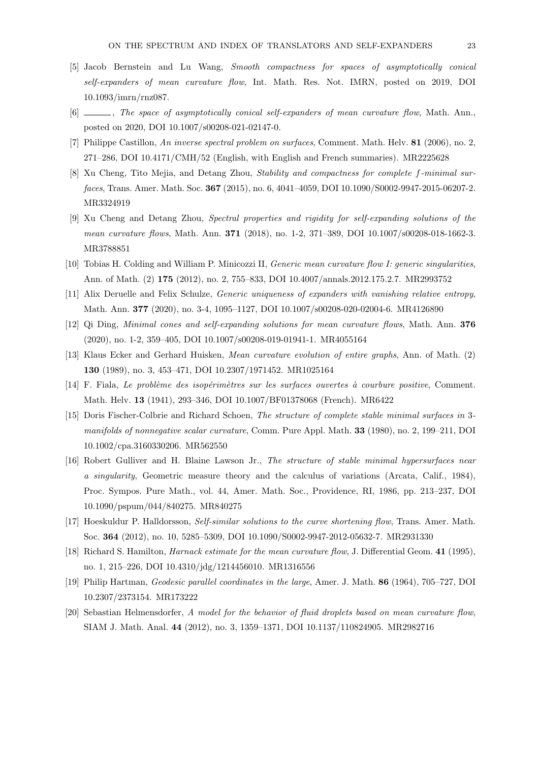- [5] Jacob Bernstein and Lu Wang, Smooth compactness for spaces of asymptotically conical self-expanders of mean curvature flow, Int. Math. Res. Not. IMRN, posted on 2019, DOI 10.1093/imrn/rnz087.
- [6]  $\_\_\_\_\_\$ n. The space of asymptotically conical self-expanders of mean curvature flow, Math. Ann., posted on 2020, DOI 10.1007/s00208-021-02147-0.
- [7] Philippe Castillon, An inverse spectral problem on surfaces, Comment. Math. Helv. 81 (2006), no. 2, 271–286, DOI 10.4171/CMH/52 (English, with English and French summaries). MR2225628
- [8] Xu Cheng, Tito Mejia, and Detang Zhou, Stability and compactness for complete f-minimal surfaces, Trans. Amer. Math. Soc. 367 (2015), no. 6, 4041–4059, DOI 10.1090/S0002-9947-2015-06207-2. MR3324919
- [9] Xu Cheng and Detang Zhou, Spectral properties and rigidity for self-expanding solutions of the mean curvature flows, Math. Ann. 371 (2018), no. 1-2, 371-389, DOI 10.1007/s00208-018-1662-3. MR3788851
- [10] Tobias H. Colding and William P. Minicozzi II, Generic mean curvature flow I: generic singularities, Ann. of Math. (2) 175 (2012), no. 2, 755–833, DOI 10.4007/annals.2012.175.2.7. MR2993752
- [11] Alix Deruelle and Felix Schulze, Generic uniqueness of expanders with vanishing relative entropy, Math. Ann. 377 (2020), no. 3-4, 1095-1127, DOI 10.1007/s00208-020-02004-6. MR4126890
- [12] Qi Ding, Minimal cones and self-expanding solutions for mean curvature flows, Math. Ann. 376 (2020), no. 1-2, 359–405, DOI 10.1007/s00208-019-01941-1. MR4055164
- [13] Klaus Ecker and Gerhard Huisken, Mean curvature evolution of entire graphs, Ann. of Math. (2) 130 (1989), no. 3, 453–471, DOI 10.2307/1971452. MR1025164
- [14] F. Fiala, Le problème des isopérimètres sur les surfaces ouvertes à courbure positive, Comment. Math. Helv. 13 (1941), 293–346, DOI 10.1007/BF01378068 (French). MR6422
- [15] Doris Fischer-Colbrie and Richard Schoen, The structure of complete stable minimal surfaces in 3 manifolds of nonnegative scalar curvature, Comm. Pure Appl. Math. 33 (1980), no. 2, 199–211, DOI 10.1002/cpa.3160330206. MR562550
- [16] Robert Gulliver and H. Blaine Lawson Jr., The structure of stable minimal hypersurfaces near a singularity, Geometric measure theory and the calculus of variations (Arcata, Calif., 1984), Proc. Sympos. Pure Math., vol. 44, Amer. Math. Soc., Providence, RI, 1986, pp. 213–237, DOI 10.1090/pspum/044/840275. MR840275
- [17] Hoeskuldur P. Halldorsson, Self-similar solutions to the curve shortening flow, Trans. Amer. Math. Soc. 364 (2012), no. 10, 5285–5309, DOI 10.1090/S0002-9947-2012-05632-7. MR2931330
- [18] Richard S. Hamilton, Harnack estimate for the mean curvature flow, J. Differential Geom. 41 (1995), no. 1, 215–226, DOI 10.4310/jdg/1214456010. MR1316556
- [19] Philip Hartman, Geodesic parallel coordinates in the large, Amer. J. Math. 86 (1964), 705–727, DOI 10.2307/2373154. MR173222
- [20] Sebastian Helmensdorfer, A model for the behavior of fluid droplets based on mean curvature flow, SIAM J. Math. Anal. 44 (2012), no. 3, 1359–1371, DOI 10.1137/110824905. MR2982716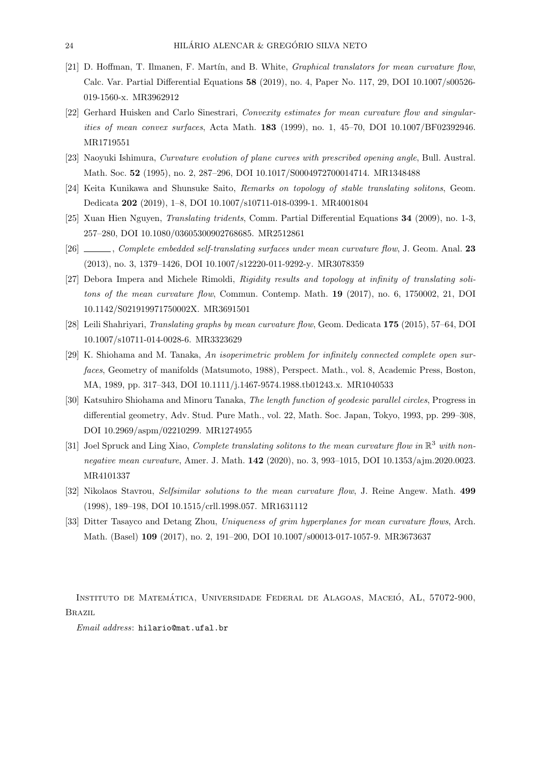- [21] D. Hoffman, T. Ilmanen, F. Martín, and B. White, *Graphical translators for mean curvature flow*, Calc. Var. Partial Differential Equations 58 (2019), no. 4, Paper No. 117, 29, DOI 10.1007/s00526- 019-1560-x. MR3962912
- [22] Gerhard Huisken and Carlo Sinestrari, Convexity estimates for mean curvature flow and singularities of mean convex surfaces, Acta Math. 183 (1999), no. 1, 45–70, DOI 10.1007/BF02392946. MR1719551
- [23] Naoyuki Ishimura, Curvature evolution of plane curves with prescribed opening angle, Bull. Austral. Math. Soc. 52 (1995), no. 2, 287–296, DOI 10.1017/S0004972700014714. MR1348488
- [24] Keita Kunikawa and Shunsuke Saito, Remarks on topology of stable translating solitons, Geom. Dedicata 202 (2019), 1–8, DOI 10.1007/s10711-018-0399-1. MR4001804
- [25] Xuan Hien Nguyen, Translating tridents, Comm. Partial Differential Equations 34 (2009), no. 1-3, 257–280, DOI 10.1080/03605300902768685. MR2512861
- [26] Complete embedded self-translating surfaces under mean curvature flow, J. Geom. Anal. 23 (2013), no. 3, 1379–1426, DOI 10.1007/s12220-011-9292-y. MR3078359
- [27] Debora Impera and Michele Rimoldi, Rigidity results and topology at infinity of translating solitons of the mean curvature flow, Commun. Contemp. Math. 19 (2017), no. 6, 1750002, 21, DOI 10.1142/S021919971750002X. MR3691501
- [28] Leili Shahriyari, Translating graphs by mean curvature flow, Geom. Dedicata 175 (2015), 57–64, DOI 10.1007/s10711-014-0028-6. MR3323629
- [29] K. Shiohama and M. Tanaka, An isoperimetric problem for infinitely connected complete open surfaces, Geometry of manifolds (Matsumoto, 1988), Perspect. Math., vol. 8, Academic Press, Boston, MA, 1989, pp. 317–343, DOI 10.1111/j.1467-9574.1988.tb01243.x. MR1040533
- [30] Katsuhiro Shiohama and Minoru Tanaka, The length function of geodesic parallel circles, Progress in differential geometry, Adv. Stud. Pure Math., vol. 22, Math. Soc. Japan, Tokyo, 1993, pp. 299–308, DOI 10.2969/aspm/02210299. MR1274955
- [31] Joel Spruck and Ling Xiao, Complete translating solitons to the mean curvature flow in  $\mathbb{R}^3$  with nonnegative mean curvature, Amer. J. Math. 142 (2020), no. 3, 993-1015, DOI 10.1353/ajm.2020.0023. MR4101337
- [32] Nikolaos Stavrou, Selfsimilar solutions to the mean curvature flow, J. Reine Angew. Math. 499 (1998), 189–198, DOI 10.1515/crll.1998.057. MR1631112
- [33] Ditter Tasayco and Detang Zhou, Uniqueness of grim hyperplanes for mean curvature flows, Arch. Math. (Basel) 109 (2017), no. 2, 191–200, DOI 10.1007/s00013-017-1057-9. MR3673637

INSTITUTO DE MATEMÁTICA, UNIVERSIDADE FEDERAL DE ALAGOAS, MACEIÓ, AL, 57072-900, Brazil

Email address: hilario@mat.ufal.br